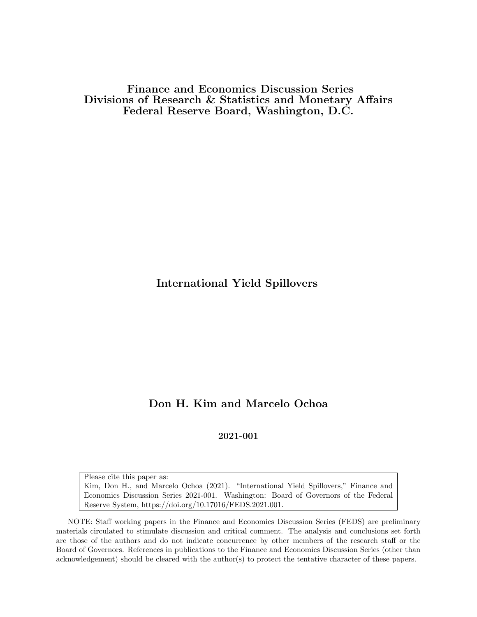Finance and Economics Discussion Series Divisions of Research & Statistics and Monetary Affairs Federal Reserve Board, Washington, D.C.

International Yield Spillovers

# Don H. Kim and Marcelo Ochoa

2021-001

Please cite this paper as: Kim, Don H., and Marcelo Ochoa (2021). "International Yield Spillovers," Finance and Economics Discussion Series 2021-001. Washington: Board of Governors of the Federal Reserve System, https://doi.org/10.17016/FEDS.2021.001.

NOTE: Staff working papers in the Finance and Economics Discussion Series (FEDS) are preliminary materials circulated to stimulate discussion and critical comment. The analysis and conclusions set forth are those of the authors and do not indicate concurrence by other members of the research staff or the Board of Governors. References in publications to the Finance and Economics Discussion Series (other than acknowledgement) should be cleared with the author(s) to protect the tentative character of these papers.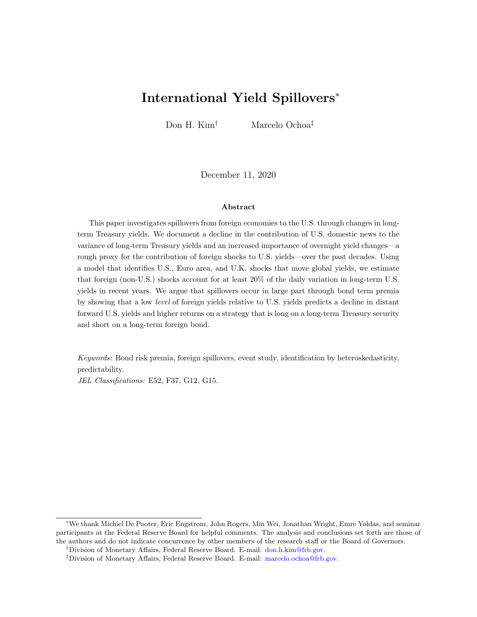# International Yield Spillovers<sup>∗</sup>

Don H. Kim† Marcelo Ochoa‡

December 11, 2020

#### Abstract

This paper investigates spillovers from foreign economies to the U.S. through changes in longterm Treasury yields. We document a decline in the contribution of U.S. domestic news to the variance of long-term Treasury yields and an increased importance of overnight yield changes—a rough proxy for the contribution of foreign shocks to U.S. yields—over the past decades. Using a model that identifies U.S., Euro area, and U.K. shocks that move global yields, we estimate that foreign (non-U.S.) shocks account for at least 20% of the daily variation in long-term U.S. yields in recent years. We argue that spillovers occur in large part through bond term premia by showing that a low level of foreign yields relative to U.S. yields predicts a decline in distant forward U.S. yields and higher returns on a strategy that is long on a long-term Treasury security and short on a long-term foreign bond.

Keywords: Bond risk premia, foreign spillovers, event study, identification by heteroskedasticity, predictability.

JEL Classifications: E52, F37, G12, G15.

<sup>∗</sup>We thank Michiel De Pooter, Eric Engstrom, John Rogers, Min Wei, Jonathan Wright, Emre Yoldas, and seminar participants at the Federal Reserve Board for helpful comments. The analysis and conclusions set forth are those of the authors and do not indicate concurrence by other members of the research staff or the Board of Governors.

<sup>†</sup>Division of Monetary Affairs, Federal Reserve Board. E-mail: [don.h.kim@frb.gov.](mailto:don.h.kim@frb.gov)

<sup>‡</sup>Division of Monetary Affairs, Federal Reserve Board. E-mail: [marcelo.ochoa@frb.gov.](mailto:marcelo.ochoa@frb.gov)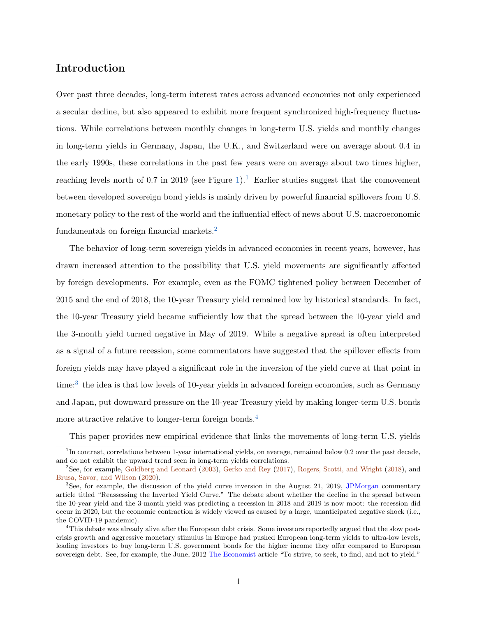# Introduction

Over past three decades, long-term interest rates across advanced economies not only experienced a secular decline, but also appeared to exhibit more frequent synchronized high-frequency fluctuations. While correlations between monthly changes in long-term U.S. yields and monthly changes in long-term yields in Germany, Japan, the U.K., and Switzerland were on average about 0.4 in the early 1990s, these correlations in the past few years were on average about two times higher, reaching levels north of 0.7 in 2019 (see Figure [1\)](#page-41-0).<sup>[1](#page-2-0)</sup> Earlier studies suggest that the comovement between developed sovereign bond yields is mainly driven by powerful financial spillovers from U.S. monetary policy to the rest of the world and the influential effect of news about U.S. macroeconomic fundamentals on foreign financial markets.<sup>[2](#page-2-1)</sup>

The behavior of long-term sovereign yields in advanced economies in recent years, however, has drawn increased attention to the possibility that U.S. yield movements are significantly affected by foreign developments. For example, even as the FOMC tightened policy between December of 2015 and the end of 2018, the 10-year Treasury yield remained low by historical standards. In fact, the 10-year Treasury yield became sufficiently low that the spread between the 10-year yield and the 3-month yield turned negative in May of 2019. While a negative spread is often interpreted as a signal of a future recession, some commentators have suggested that the spillover effects from foreign yields may have played a significant role in the inversion of the yield curve at that point in time:<sup>[3](#page-2-2)</sup> the idea is that low levels of 10-year yields in advanced foreign economies, such as Germany and Japan, put downward pressure on the 10-year Treasury yield by making longer-term U.S. bonds more attractive relative to longer-term foreign bonds.<sup>[4](#page-2-3)</sup>

<span id="page-2-0"></span>This paper provides new empirical evidence that links the movements of long-term U.S. yields

<sup>&</sup>lt;sup>1</sup>In contrast, correlations between 1-year international yields, on average, remained below 0.2 over the past decade, and do not exhibit the upward trend seen in long-term yields correlations.

<span id="page-2-1"></span><sup>2</sup>See, for example, [Goldberg and Leonard](#page-38-0) [\(2003\)](#page-38-0), [Gerko and Rey](#page-38-1) [\(2017\)](#page-38-1), [Rogers, Scotti, and Wright](#page-40-0) [\(2018\)](#page-40-0), and [Brusa, Savor, and Wilson](#page-36-0) [\(2020\)](#page-36-0).

<span id="page-2-2"></span> ${}^{3}$ See, for example, the discussion of the yield curve inversion in the August 21, 2019, [JPMorgan](https://www.jpmorgan.com/commercial-banking/insights/reassessing-the-inverted-yield-curve) commentary article titled "Reassessing the Inverted Yield Curve." The debate about whether the decline in the spread between the 10-year yield and the 3-month yield was predicting a recession in 2018 and 2019 is now moot: the recession did occur in 2020, but the economic contraction is widely viewed as caused by a large, unanticipated negative shock (i.e., the COVID-19 pandemic).

<span id="page-2-3"></span><sup>&</sup>lt;sup>4</sup>This debate was already alive after the European debt crisis. Some investors reportedly argued that the slow postcrisis growth and aggressive monetary stimulus in Europe had pushed European long-term yields to ultra-low levels, leading investors to buy long-term U.S. government bonds for the higher income they offer compared to European sovereign debt. See, for example, the June, 2012 [The Economist](https://www.economist.com/briefing/2012/06/30/to-strive-to-seek-to-find-and-not-to-yield) article "To strive, to seek, to find, and not to yield."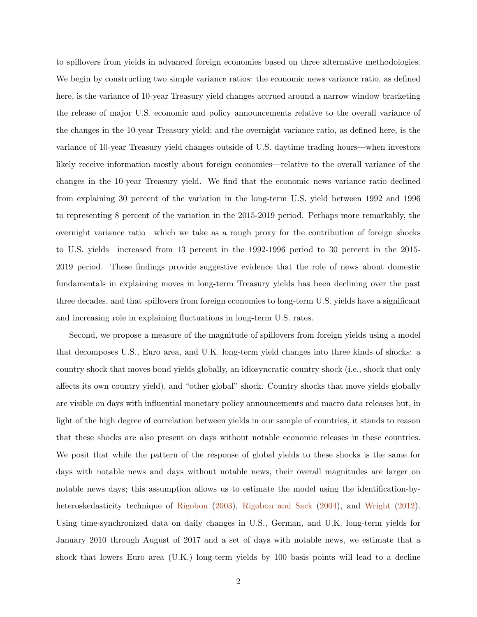to spillovers from yields in advanced foreign economies based on three alternative methodologies. We begin by constructing two simple variance ratios: the economic news variance ratio, as defined here, is the variance of 10-year Treasury yield changes accrued around a narrow window bracketing the release of major U.S. economic and policy announcements relative to the overall variance of the changes in the 10-year Treasury yield; and the overnight variance ratio, as defined here, is the variance of 10-year Treasury yield changes outside of U.S. daytime trading hours—when investors likely receive information mostly about foreign economies—relative to the overall variance of the changes in the 10-year Treasury yield. We find that the economic news variance ratio declined from explaining 30 percent of the variation in the long-term U.S. yield between 1992 and 1996 to representing 8 percent of the variation in the 2015-2019 period. Perhaps more remarkably, the overnight variance ratio—which we take as a rough proxy for the contribution of foreign shocks to U.S. yields—increased from 13 percent in the 1992-1996 period to 30 percent in the 2015- 2019 period. These findings provide suggestive evidence that the role of news about domestic fundamentals in explaining moves in long-term Treasury yields has been declining over the past three decades, and that spillovers from foreign economies to long-term U.S. yields have a significant and increasing role in explaining fluctuations in long-term U.S. rates.

Second, we propose a measure of the magnitude of spillovers from foreign yields using a model that decomposes U.S., Euro area, and U.K. long-term yield changes into three kinds of shocks: a country shock that moves bond yields globally, an idiosyncratic country shock (i.e., shock that only affects its own country yield), and "other global" shock. Country shocks that move yields globally are visible on days with influential monetary policy announcements and macro data releases but, in light of the high degree of correlation between yields in our sample of countries, it stands to reason that these shocks are also present on days without notable economic releases in these countries. We posit that while the pattern of the response of global yields to these shocks is the same for days with notable news and days without notable news, their overall magnitudes are larger on notable news days; this assumption allows us to estimate the model using the identification-by-heteroskedasticity technique of [Rigobon](#page-40-1) [\(2003\)](#page-40-1), [Rigobon and Sack](#page-40-2) [\(2004\)](#page-40-2), and [Wright](#page-40-3) [\(2012\)](#page-40-3). Using time-synchronized data on daily changes in U.S., German, and U.K. long-term yields for January 2010 through August of 2017 and a set of days with notable news, we estimate that a shock that lowers Euro area (U.K.) long-term yields by 100 basis points will lead to a decline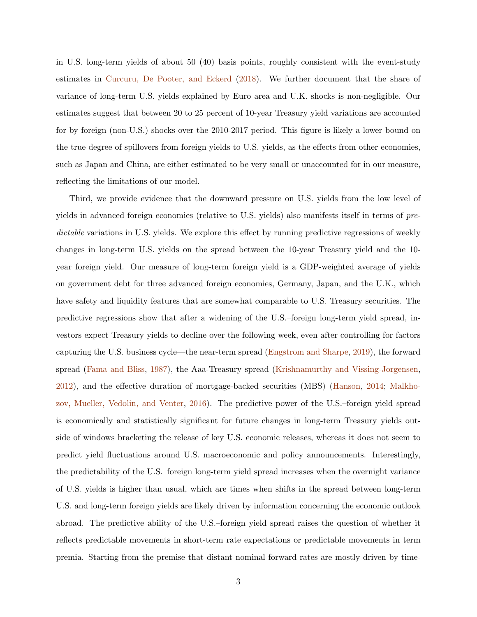in U.S. long-term yields of about 50 (40) basis points, roughly consistent with the event-study estimates in [Curcuru, De Pooter, and Eckerd](#page-37-0) [\(2018\)](#page-37-0). We further document that the share of variance of long-term U.S. yields explained by Euro area and U.K. shocks is non-negligible. Our estimates suggest that between 20 to 25 percent of 10-year Treasury yield variations are accounted for by foreign (non-U.S.) shocks over the 2010-2017 period. This figure is likely a lower bound on the true degree of spillovers from foreign yields to U.S. yields, as the effects from other economies, such as Japan and China, are either estimated to be very small or unaccounted for in our measure, reflecting the limitations of our model.

Third, we provide evidence that the downward pressure on U.S. yields from the low level of yields in advanced foreign economies (relative to U.S. yields) also manifests itself in terms of predictable variations in U.S. yields. We explore this effect by running predictive regressions of weekly changes in long-term U.S. yields on the spread between the 10-year Treasury yield and the 10 year foreign yield. Our measure of long-term foreign yield is a GDP-weighted average of yields on government debt for three advanced foreign economies, Germany, Japan, and the U.K., which have safety and liquidity features that are somewhat comparable to U.S. Treasury securities. The predictive regressions show that after a widening of the U.S.–foreign long-term yield spread, investors expect Treasury yields to decline over the following week, even after controlling for factors capturing the U.S. business cycle—the near-term spread [\(Engstrom and Sharpe,](#page-37-1) [2019\)](#page-37-1), the forward spread [\(Fama and Bliss,](#page-37-2) [1987\)](#page-37-2), the Aaa-Treasury spread [\(Krishnamurthy and Vissing-Jorgensen,](#page-39-0) [2012\)](#page-39-0), and the effective duration of mortgage-backed securities (MBS) [\(Hanson,](#page-38-2) [2014;](#page-38-2) [Malkho](#page-39-1)[zov, Mueller, Vedolin, and Venter,](#page-39-1) [2016\)](#page-39-1). The predictive power of the U.S.–foreign yield spread is economically and statistically significant for future changes in long-term Treasury yields outside of windows bracketing the release of key U.S. economic releases, whereas it does not seem to predict yield fluctuations around U.S. macroeconomic and policy announcements. Interestingly, the predictability of the U.S.–foreign long-term yield spread increases when the overnight variance of U.S. yields is higher than usual, which are times when shifts in the spread between long-term U.S. and long-term foreign yields are likely driven by information concerning the economic outlook abroad. The predictive ability of the U.S.–foreign yield spread raises the question of whether it reflects predictable movements in short-term rate expectations or predictable movements in term premia. Starting from the premise that distant nominal forward rates are mostly driven by time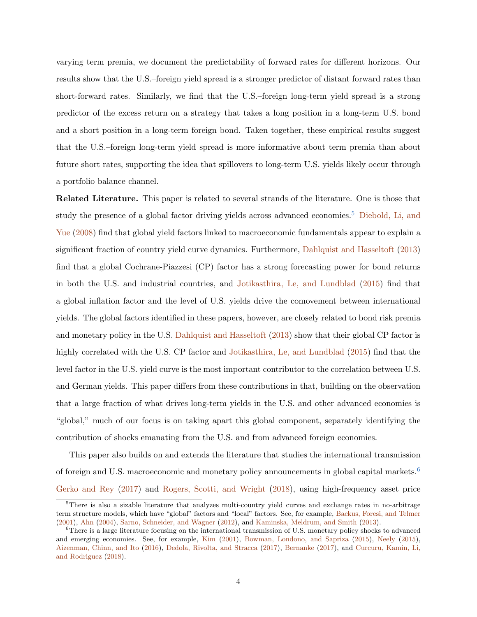varying term premia, we document the predictability of forward rates for different horizons. Our results show that the U.S.–foreign yield spread is a stronger predictor of distant forward rates than short-forward rates. Similarly, we find that the U.S.–foreign long-term yield spread is a strong predictor of the excess return on a strategy that takes a long position in a long-term U.S. bond and a short position in a long-term foreign bond. Taken together, these empirical results suggest that the U.S.–foreign long-term yield spread is more informative about term premia than about future short rates, supporting the idea that spillovers to long-term U.S. yields likely occur through a portfolio balance channel.

Related Literature. This paper is related to several strands of the literature. One is those that study the presence of a global factor driving yields across advanced economies.<sup>[5](#page-5-0)</sup> [Diebold, Li, and](#page-37-3) [Yue](#page-37-3) [\(2008\)](#page-37-3) find that global yield factors linked to macroeconomic fundamentals appear to explain a significant fraction of country yield curve dynamics. Furthermore, [Dahlquist and Hasseltoft](#page-37-4) [\(2013\)](#page-37-4) find that a global Cochrane-Piazzesi (CP) factor has a strong forecasting power for bond returns in both the U.S. and industrial countries, and [Jotikasthira, Le, and Lundblad](#page-38-3) [\(2015\)](#page-38-3) find that a global inflation factor and the level of U.S. yields drive the comovement between international yields. The global factors identified in these papers, however, are closely related to bond risk premia and monetary policy in the U.S. [Dahlquist and Hasseltoft](#page-37-4) [\(2013\)](#page-37-4) show that their global CP factor is highly correlated with the U.S. CP factor and [Jotikasthira, Le, and Lundblad](#page-38-3) [\(2015\)](#page-38-3) find that the level factor in the U.S. yield curve is the most important contributor to the correlation between U.S. and German yields. This paper differs from these contributions in that, building on the observation that a large fraction of what drives long-term yields in the U.S. and other advanced economies is "global," much of our focus is on taking apart this global component, separately identifying the contribution of shocks emanating from the U.S. and from advanced foreign economies.

This paper also builds on and extends the literature that studies the international transmission of foreign and U.S. macroeconomic and monetary policy announcements in global capital markets.[6](#page-5-1) [Gerko and Rey](#page-38-1) [\(2017\)](#page-38-1) and [Rogers, Scotti, and Wright](#page-40-0) [\(2018\)](#page-40-0), using high-frequency asset price

<span id="page-5-0"></span><sup>5</sup>There is also a sizable literature that analyzes multi-country yield curves and exchange rates in no-arbitrage term structure models, which have "global" factors and "local" factors. See, for example, [Backus, Foresi, and Telmer](#page-36-1) [\(2001\)](#page-36-1), [Ahn](#page-36-2) [\(2004\)](#page-36-2), [Sarno, Schneider, and Wagner](#page-40-4) [\(2012\)](#page-40-4), and [Kaminska, Meldrum, and Smith](#page-38-4) [\(2013\)](#page-38-4).

<span id="page-5-1"></span> $6$ There is a large literature focusing on the international transmission of U.S. monetary policy shocks to advanced and emerging economies. See, for example, [Kim](#page-39-2) [\(2001\)](#page-39-2), [Bowman, Londono, and Sapriza](#page-36-3) [\(2015\)](#page-36-3), [Neely](#page-39-3) [\(2015\)](#page-39-3), [Aizenman, Chinn, and Ito](#page-36-4) [\(2016\)](#page-36-4), [Dedola, Rivolta, and Stracca](#page-37-5) [\(2017\)](#page-37-5), [Bernanke](#page-36-5) [\(2017\)](#page-36-5), and [Curcuru, Kamin, Li,](#page-37-6) [and Rodriguez](#page-37-6) [\(2018\)](#page-37-6).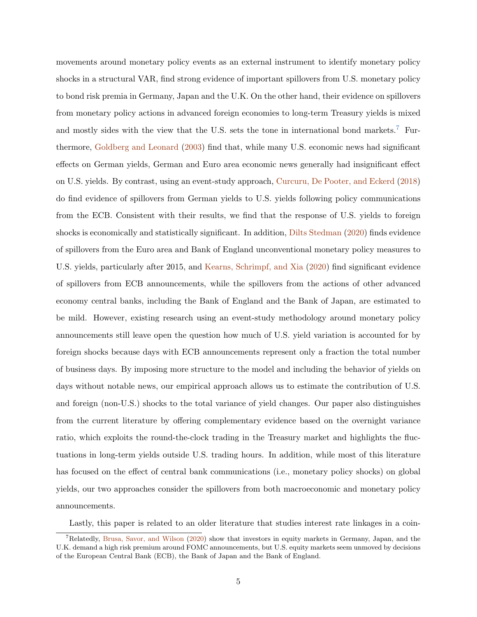movements around monetary policy events as an external instrument to identify monetary policy shocks in a structural VAR, find strong evidence of important spillovers from U.S. monetary policy to bond risk premia in Germany, Japan and the U.K. On the other hand, their evidence on spillovers from monetary policy actions in advanced foreign economies to long-term Treasury yields is mixed and mostly sides with the view that the U.S. sets the tone in international bond markets.<sup>[7](#page-6-0)</sup> Furthermore, [Goldberg and Leonard](#page-38-0) [\(2003\)](#page-38-0) find that, while many U.S. economic news had significant effects on German yields, German and Euro area economic news generally had insignificant effect on U.S. yields. By contrast, using an event-study approach, [Curcuru, De Pooter, and Eckerd](#page-37-0) [\(2018\)](#page-37-0) do find evidence of spillovers from German yields to U.S. yields following policy communications from the ECB. Consistent with their results, we find that the response of U.S. yields to foreign shocks is economically and statistically significant. In addition, [Dilts Stedman](#page-37-7) [\(2020\)](#page-37-7) finds evidence of spillovers from the Euro area and Bank of England unconventional monetary policy measures to U.S. yields, particularly after 2015, and [Kearns, Schrimpf, and Xia](#page-39-4) [\(2020\)](#page-39-4) find significant evidence of spillovers from ECB announcements, while the spillovers from the actions of other advanced economy central banks, including the Bank of England and the Bank of Japan, are estimated to be mild. However, existing research using an event-study methodology around monetary policy announcements still leave open the question how much of U.S. yield variation is accounted for by foreign shocks because days with ECB announcements represent only a fraction the total number of business days. By imposing more structure to the model and including the behavior of yields on days without notable news, our empirical approach allows us to estimate the contribution of U.S. and foreign (non-U.S.) shocks to the total variance of yield changes. Our paper also distinguishes from the current literature by offering complementary evidence based on the overnight variance ratio, which exploits the round-the-clock trading in the Treasury market and highlights the fluctuations in long-term yields outside U.S. trading hours. In addition, while most of this literature has focused on the effect of central bank communications (i.e., monetary policy shocks) on global yields, our two approaches consider the spillovers from both macroeconomic and monetary policy announcements.

<span id="page-6-0"></span>Lastly, this paper is related to an older literature that studies interest rate linkages in a coin-

<sup>7</sup>Relatedly, [Brusa, Savor, and Wilson](#page-36-0) [\(2020\)](#page-36-0) show that investors in equity markets in Germany, Japan, and the U.K. demand a high risk premium around FOMC announcements, but U.S. equity markets seem unmoved by decisions of the European Central Bank (ECB), the Bank of Japan and the Bank of England.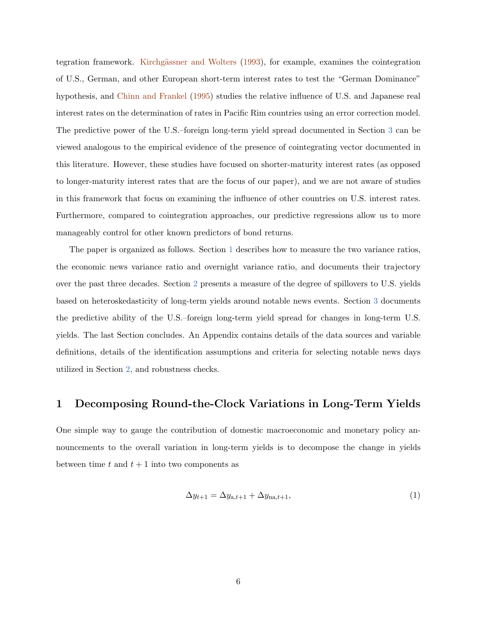tegration framework. Kirchgässner and Wolters [\(1993\)](#page-39-5), for example, examines the cointegration of U.S., German, and other European short-term interest rates to test the "German Dominance" hypothesis, and [Chinn and Frankel](#page-36-6) [\(1995\)](#page-36-6) studies the relative influence of U.S. and Japanese real interest rates on the determination of rates in Pacific Rim countries using an error correction model. The predictive power of the U.S.–foreign long-term yield spread documented in Section [3](#page-19-0) can be viewed analogous to the empirical evidence of the presence of cointegrating vector documented in this literature. However, these studies have focused on shorter-maturity interest rates (as opposed to longer-maturity interest rates that are the focus of our paper), and we are not aware of studies in this framework that focus on examining the influence of other countries on U.S. interest rates. Furthermore, compared to cointegration approaches, our predictive regressions allow us to more manageably control for other known predictors of bond returns.

The paper is organized as follows. Section [1](#page-7-0) describes how to measure the two variance ratios, the economic news variance ratio and overnight variance ratio, and documents their trajectory over the past three decades. Section [2](#page-11-0) presents a measure of the degree of spillovers to U.S. yields based on heteroskedasticity of long-term yields around notable news events. Section [3](#page-19-0) documents the predictive ability of the U.S.–foreign long-term yield spread for changes in long-term U.S. yields. The last Section concludes. An Appendix contains details of the data sources and variable definitions, details of the identification assumptions and criteria for selecting notable news days utilized in Section [2,](#page-11-0) and robustness checks.

# <span id="page-7-0"></span>1 Decomposing Round-the-Clock Variations in Long-Term Yields

One simple way to gauge the contribution of domestic macroeconomic and monetary policy announcements to the overall variation in long-term yields is to decompose the change in yields between time  $t$  and  $t + 1$  into two components as

<span id="page-7-1"></span>
$$
\Delta y_{t+1} = \Delta y_{a,t+1} + \Delta y_{\text{na},t+1},\tag{1}
$$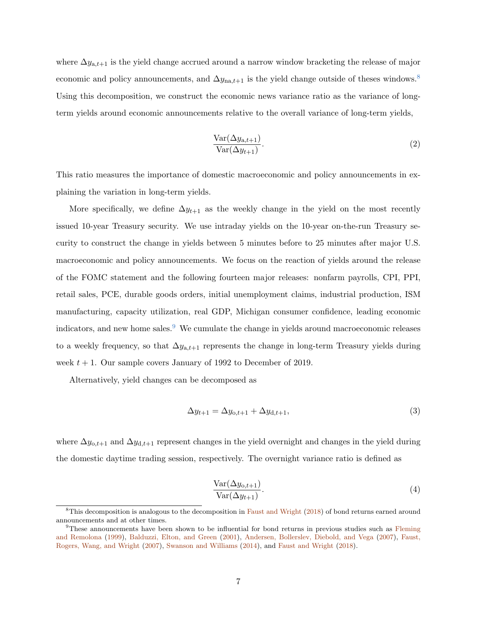where  $\Delta y_{a,t+1}$  is the yield change accrued around a narrow window bracketing the release of major economic and policy announcements, and  $\Delta y_{na,t+1}$  is the yield change outside of theses windows.<sup>[8](#page-8-0)</sup> Using this decomposition, we construct the economic news variance ratio as the variance of longterm yields around economic announcements relative to the overall variance of long-term yields,

$$
\frac{\text{Var}(\Delta y_{a,t+1})}{\text{Var}(\Delta y_{t+1})}.\tag{2}
$$

This ratio measures the importance of domestic macroeconomic and policy announcements in explaining the variation in long-term yields.

More specifically, we define  $\Delta y_{t+1}$  as the weekly change in the yield on the most recently issued 10-year Treasury security. We use intraday yields on the 10-year on-the-run Treasury security to construct the change in yields between 5 minutes before to 25 minutes after major U.S. macroeconomic and policy announcements. We focus on the reaction of yields around the release of the FOMC statement and the following fourteen major releases: nonfarm payrolls, CPI, PPI, retail sales, PCE, durable goods orders, initial unemployment claims, industrial production, ISM manufacturing, capacity utilization, real GDP, Michigan consumer confidence, leading economic indicators, and new home sales.<sup>[9](#page-8-1)</sup> We cumulate the change in yields around macroeconomic releases to a weekly frequency, so that  $\Delta y_{a,t+1}$  represents the change in long-term Treasury yields during week  $t + 1$ . Our sample covers January of 1992 to December of 2019.

Alternatively, yield changes can be decomposed as

$$
\Delta y_{t+1} = \Delta y_{0,t+1} + \Delta y_{d,t+1},\tag{3}
$$

where  $\Delta y_{0,t+1}$  and  $\Delta y_{d,t+1}$  represent changes in the yield overnight and changes in the yield during the domestic daytime trading session, respectively. The overnight variance ratio is defined as

$$
\frac{\text{Var}(\Delta y_{0,t+1})}{\text{Var}(\Delta y_{t+1})}.\tag{4}
$$

<span id="page-8-0"></span><sup>&</sup>lt;sup>8</sup>This decomposition is analogous to the decomposition in [Faust and Wright](#page-38-5) [\(2018\)](#page-38-5) of bond returns earned around announcements and at other times.

<span id="page-8-1"></span><sup>9</sup>These announcements have been shown to be influential for bond returns in previous studies such as [Fleming](#page-38-6) [and Remolona](#page-38-6) [\(1999\)](#page-38-6), [Balduzzi, Elton, and Green](#page-36-7) [\(2001\)](#page-36-7), [Andersen, Bollerslev, Diebold, and Vega](#page-36-8) [\(2007\)](#page-36-8), [Faust,](#page-38-7) [Rogers, Wang, and Wright](#page-38-7) [\(2007\)](#page-38-7), [Swanson and Williams](#page-40-5) [\(2014\)](#page-40-5), and [Faust and Wright](#page-38-5) [\(2018\)](#page-38-5).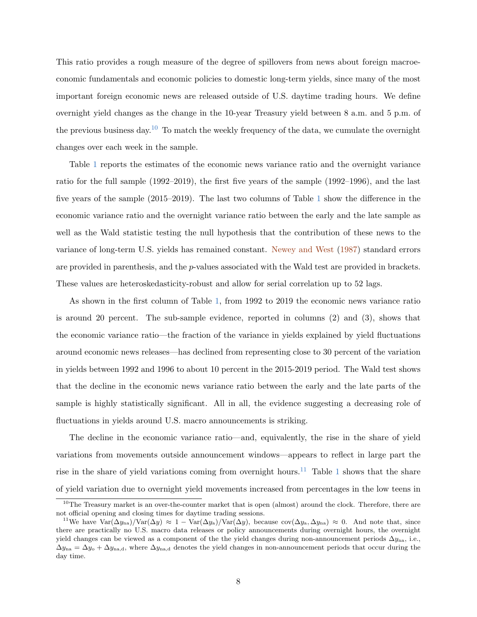This ratio provides a rough measure of the degree of spillovers from news about foreign macroeconomic fundamentals and economic policies to domestic long-term yields, since many of the most important foreign economic news are released outside of U.S. daytime trading hours. We define overnight yield changes as the change in the 10-year Treasury yield between 8 a.m. and 5 p.m. of the previous business day.[10](#page-9-0) To match the weekly frequency of the data, we cumulate the overnight changes over each week in the sample.

Table [1](#page-45-0) reports the estimates of the economic news variance ratio and the overnight variance ratio for the full sample (1992–2019), the first five years of the sample (1992–1996), and the last five years of the sample (2015–2019). The last two columns of Table [1](#page-45-0) show the difference in the economic variance ratio and the overnight variance ratio between the early and the late sample as well as the Wald statistic testing the null hypothesis that the contribution of these news to the variance of long-term U.S. yields has remained constant. [Newey and West](#page-39-6) [\(1987\)](#page-39-6) standard errors are provided in parenthesis, and the p-values associated with the Wald test are provided in brackets. These values are heteroskedasticity-robust and allow for serial correlation up to 52 lags.

As shown in the first column of Table [1,](#page-45-0) from 1992 to 2019 the economic news variance ratio is around 20 percent. The sub-sample evidence, reported in columns (2) and (3), shows that the economic variance ratio—the fraction of the variance in yields explained by yield fluctuations around economic news releases—has declined from representing close to 30 percent of the variation in yields between 1992 and 1996 to about 10 percent in the 2015-2019 period. The Wald test shows that the decline in the economic news variance ratio between the early and the late parts of the sample is highly statistically significant. All in all, the evidence suggesting a decreasing role of fluctuations in yields around U.S. macro announcements is striking.

The decline in the economic variance ratio—and, equivalently, the rise in the share of yield variations from movements outside announcement windows—appears to reflect in large part the rise in the share of yield variations coming from overnight hours.<sup>[11](#page-9-1)</sup> Table [1](#page-45-0) shows that the share of yield variation due to overnight yield movements increased from percentages in the low teens in

<span id="page-9-0"></span><sup>&</sup>lt;sup>10</sup>The Treasury market is an over-the-counter market that is open (almost) around the clock. Therefore, there are not official opening and closing times for daytime trading sessions.

<span id="page-9-1"></span><sup>&</sup>lt;sup>11</sup>We have  $\text{Var}(\Delta y_{\text{na}})/\text{Var}(\Delta y) \approx 1 - \text{Var}(\Delta y_{\text{a}})/\text{Var}(\Delta y)$ , because  $\text{cov}(\Delta y_{\text{a}}, \Delta y_{\text{na}}) \approx 0$ . And note that, since there are practically no U.S. macro data releases or policy announcements during overnight hours, the overnight yield changes can be viewed as a component of the the yield changes during non-announcement periods  $\Delta y_{\text{na}}$ , i.e.,  $\Delta y_{\text{na}} = \Delta y_{\text{o}} + \Delta y_{\text{na,d}}$ , where  $\Delta y_{\text{na,d}}$  denotes the yield changes in non-announcement periods that occur during the day time.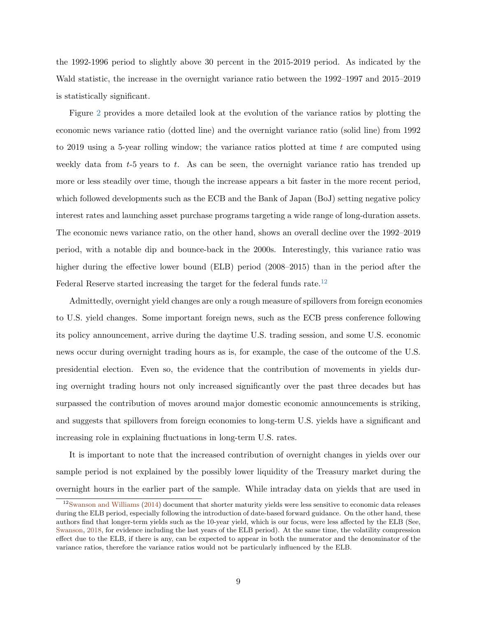the 1992-1996 period to slightly above 30 percent in the 2015-2019 period. As indicated by the Wald statistic, the increase in the overnight variance ratio between the 1992–1997 and 2015–2019 is statistically significant.

Figure [2](#page-42-0) provides a more detailed look at the evolution of the variance ratios by plotting the economic news variance ratio (dotted line) and the overnight variance ratio (solid line) from 1992 to 2019 using a 5-year rolling window; the variance ratios plotted at time  $t$  are computed using weekly data from  $t-5$  years to  $t$ . As can be seen, the overnight variance ratio has trended up more or less steadily over time, though the increase appears a bit faster in the more recent period, which followed developments such as the ECB and the Bank of Japan (BoJ) setting negative policy interest rates and launching asset purchase programs targeting a wide range of long-duration assets. The economic news variance ratio, on the other hand, shows an overall decline over the 1992–2019 period, with a notable dip and bounce-back in the 2000s. Interestingly, this variance ratio was higher during the effective lower bound (ELB) period (2008–2015) than in the period after the Federal Reserve started increasing the target for the federal funds rate.<sup>[12](#page-10-0)</sup>

Admittedly, overnight yield changes are only a rough measure of spillovers from foreign economies to U.S. yield changes. Some important foreign news, such as the ECB press conference following its policy announcement, arrive during the daytime U.S. trading session, and some U.S. economic news occur during overnight trading hours as is, for example, the case of the outcome of the U.S. presidential election. Even so, the evidence that the contribution of movements in yields during overnight trading hours not only increased significantly over the past three decades but has surpassed the contribution of moves around major domestic economic announcements is striking, and suggests that spillovers from foreign economies to long-term U.S. yields have a significant and increasing role in explaining fluctuations in long-term U.S. rates.

It is important to note that the increased contribution of overnight changes in yields over our sample period is not explained by the possibly lower liquidity of the Treasury market during the overnight hours in the earlier part of the sample. While intraday data on yields that are used in

<span id="page-10-0"></span> $12$ [Swanson and Williams](#page-40-5) [\(2014\)](#page-40-5) document that shorter maturity yields were less sensitive to economic data releases during the ELB period, especially following the introduction of date-based forward guidance. On the other hand, these authors find that longer-term yields such as the 10-year yield, which is our focus, were less affected by the ELB (See, [Swanson,](#page-40-6) [2018,](#page-40-6) for evidence including the last years of the ELB period). At the same time, the volatility compression effect due to the ELB, if there is any, can be expected to appear in both the numerator and the denominator of the variance ratios, therefore the variance ratios would not be particularly influenced by the ELB.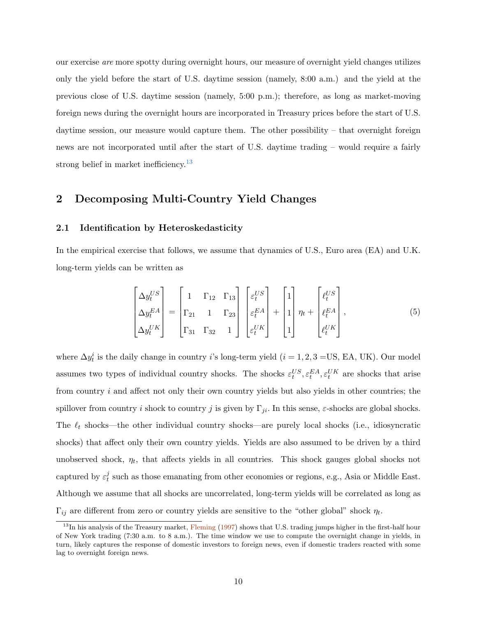our exercise are more spotty during overnight hours, our measure of overnight yield changes utilizes only the yield before the start of U.S. daytime session (namely, 8:00 a.m.) and the yield at the previous close of U.S. daytime session (namely, 5:00 p.m.); therefore, as long as market-moving foreign news during the overnight hours are incorporated in Treasury prices before the start of U.S. daytime session, our measure would capture them. The other possibility – that overnight foreign news are not incorporated until after the start of U.S. daytime trading – would require a fairly strong belief in market inefficiency.<sup>[13](#page-11-1)</sup>

# <span id="page-11-0"></span>2 Decomposing Multi-Country Yield Changes

### 2.1 Identification by Heteroskedasticity

In the empirical exercise that follows, we assume that dynamics of U.S., Euro area (EA) and U.K. long-term yields can be written as

<span id="page-11-2"></span>
$$
\begin{bmatrix}\n\Delta y_t^{US} \\
\Delta y_t^{EA} \\
\Delta y_t^{UK}\n\end{bmatrix} = \begin{bmatrix}\n1 & \Gamma_{12} & \Gamma_{13} \\
\Gamma_{21} & 1 & \Gamma_{23} \\
\Gamma_{31} & \Gamma_{32} & 1\n\end{bmatrix} \begin{bmatrix}\n\varepsilon_t^{US} \\
\varepsilon_t^{EA} \\
\varepsilon_t^{UK}\n\end{bmatrix} + \begin{bmatrix}\n1 \\
1 \\
1\n\end{bmatrix} \eta_t + \begin{bmatrix}\n\ell_t^{US} \\
\ell_t^{EA} \\
\ell_t^{UK}\n\end{bmatrix},
$$
\n(5)

where  $\Delta y_t^i$  is the daily change in country *i*'s long-term yield (*i* = 1, 2, 3 = US, EA, UK). Our model assumes two types of individual country shocks. The shocks  $\varepsilon_t^{US}, \varepsilon_t^{EA}, \varepsilon_t^{UK}$  are shocks that arise from country i and affect not only their own country yields but also yields in other countries; the spillover from country i shock to country j is given by  $\Gamma_{ji}$ . In this sense,  $\varepsilon$ -shocks are global shocks. The  $\ell_t$  shocks—the other individual country shocks—are purely local shocks (i.e., idiosyncratic shocks) that affect only their own country yields. Yields are also assumed to be driven by a third unobserved shock,  $\eta_t$ , that affects yields in all countries. This shock gauges global shocks not captured by  $\varepsilon_t^j$  $t<sub>t</sub>$  such as those emanating from other economies or regions, e.g., Asia or Middle East. Although we assume that all shocks are uncorrelated, long-term yields will be correlated as long as  $\Gamma_{ij}$  are different from zero or country yields are sensitive to the "other global" shock  $\eta_t$ .

<span id="page-11-1"></span> $13$ In his analysis of the Treasury market, [Fleming](#page-38-8) [\(1997\)](#page-38-8) shows that U.S. trading jumps higher in the first-half hour of New York trading (7:30 a.m. to 8 a.m.). The time window we use to compute the overnight change in yields, in turn, likely captures the response of domestic investors to foreign news, even if domestic traders reacted with some lag to overnight foreign news.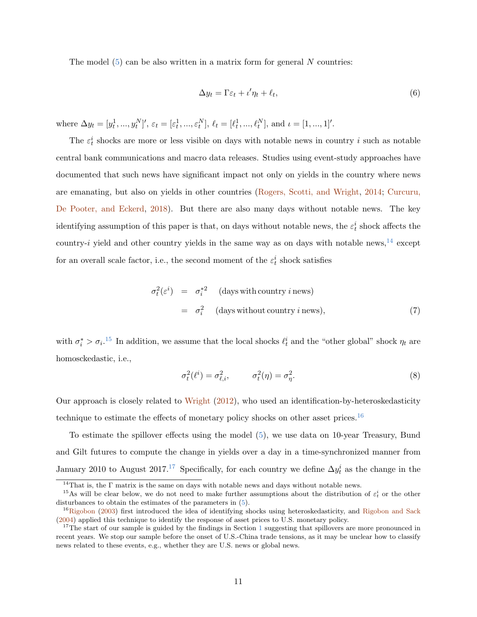The model  $(5)$  can be also written in a matrix form for general N countries:

<span id="page-12-4"></span>
$$
\Delta y_t = \Gamma \varepsilon_t + \iota' \eta_t + \ell_t,\tag{6}
$$

where  $\Delta y_t = [y_t^1, ..., y_t^N]'$ ,  $\varepsilon_t = [\varepsilon_t^1, ..., \varepsilon_t^N]$ ,  $\ell_t = [\ell_t^1, ..., \ell_t^N]$ , and  $\iota = [1, ..., 1]'$ .

The  $\varepsilon_t^i$  shocks are more or less visible on days with notable news in country i such as notable central bank communications and macro data releases. Studies using event-study approaches have documented that such news have significant impact not only on yields in the country where news are emanating, but also on yields in other countries [\(Rogers, Scotti, and Wright,](#page-40-7) [2014;](#page-40-7) [Curcuru,](#page-37-0) [De Pooter, and Eckerd,](#page-37-0) [2018\)](#page-37-0). But there are also many days without notable news. The key identifying assumption of this paper is that, on days without notable news, the  $\varepsilon_t^i$  shock affects the country-i yield and other country yields in the same way as on days with notable news,  $^{14}$  $^{14}$  $^{14}$  except for an overall scale factor, i.e., the second moment of the  $\varepsilon_t^i$  shock satisfies

<span id="page-12-5"></span>
$$
\sigma_t^2(\varepsilon^i) = \sigma_i^{*2} \quad \text{(days with country } i \text{ news)}\n= \sigma_i^2 \quad \text{(days without country } i \text{ news)},
$$
\n(7)

with  $\sigma_i^* > \sigma_i$ .<sup>[15](#page-12-1)</sup> In addition, we assume that the local shocks  $\ell_t^i$  and the "other global" shock  $\eta_t$  are homosckedastic, i.e.,

<span id="page-12-6"></span>
$$
\sigma_t^2(\ell^i) = \sigma_{\ell,i}^2, \qquad \sigma_t^2(\eta) = \sigma_\eta^2. \tag{8}
$$

Our approach is closely related to [Wright](#page-40-3) [\(2012\)](#page-40-3), who used an identification-by-heteroskedasticity technique to estimate the effects of monetary policy shocks on other asset prices.<sup>[16](#page-12-2)</sup>

To estimate the spillover effects using the model [\(5\)](#page-11-2), we use data on 10-year Treasury, Bund and Gilt futures to compute the change in yields over a day in a time-synchronized manner from January 2010 to August 20[17](#page-12-3).<sup>17</sup> Specifically, for each country we define  $\Delta y_t^i$  as the change in the

<span id="page-12-1"></span><span id="page-12-0"></span> $^{14}\mathrm{That}$  is, the  $\Gamma$  matrix is the same on days with notable news and days without notable news.

<sup>&</sup>lt;sup>15</sup>As will be clear below, we do not need to make further assumptions about the distribution of  $\varepsilon_t^i$  or the other disturbances to obtain the estimates of the parameters in [\(5\)](#page-11-2).

<span id="page-12-2"></span><sup>&</sup>lt;sup>16</sup>[Rigobon](#page-40-1) [\(2003\)](#page-40-1) first introduced the idea of identifying shocks using heteroskedasticity, and [Rigobon and Sack](#page-40-2) [\(2004\)](#page-40-2) applied this technique to identify the response of asset prices to U.S. monetary policy.

<span id="page-12-3"></span><sup>&</sup>lt;sup>[1](#page-7-0)7</sup>The start of our sample is guided by the findings in Section 1 suggesting that spillovers are more pronounced in recent years. We stop our sample before the onset of U.S.-China trade tensions, as it may be unclear how to classify news related to these events, e.g., whether they are U.S. news or global news.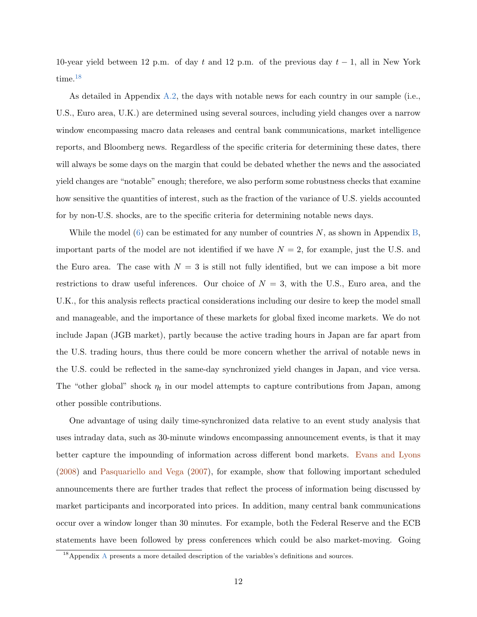10-year yield between 12 p.m. of day t and 12 p.m. of the previous day  $t-1$ , all in New York time.<sup>[18](#page-13-0)</sup>

As detailed in Appendix [A.2,](#page-31-0) the days with notable news for each country in our sample (i.e., U.S., Euro area, U.K.) are determined using several sources, including yield changes over a narrow window encompassing macro data releases and central bank communications, market intelligence reports, and Bloomberg news. Regardless of the specific criteria for determining these dates, there will always be some days on the margin that could be debated whether the news and the associated yield changes are "notable" enough; therefore, we also perform some robustness checks that examine how sensitive the quantities of interest, such as the fraction of the variance of U.S. yields accounted for by non-U.S. shocks, are to the specific criteria for determining notable news days.

While the model [\(6\)](#page-12-4) can be estimated for any number of countries  $N$ , as shown in Appendix [B,](#page-33-0) important parts of the model are not identified if we have  $N = 2$ , for example, just the U.S. and the Euro area. The case with  $N = 3$  is still not fully identified, but we can impose a bit more restrictions to draw useful inferences. Our choice of  $N = 3$ , with the U.S., Euro area, and the U.K., for this analysis reflects practical considerations including our desire to keep the model small and manageable, and the importance of these markets for global fixed income markets. We do not include Japan (JGB market), partly because the active trading hours in Japan are far apart from the U.S. trading hours, thus there could be more concern whether the arrival of notable news in the U.S. could be reflected in the same-day synchronized yield changes in Japan, and vice versa. The "other global" shock  $\eta_t$  in our model attempts to capture contributions from Japan, among other possible contributions.

One advantage of using daily time-synchronized data relative to an event study analysis that uses intraday data, such as 30-minute windows encompassing announcement events, is that it may better capture the impounding of information across different bond markets. [Evans and Lyons](#page-37-8) [\(2008\)](#page-37-8) and [Pasquariello and Vega](#page-39-7) [\(2007\)](#page-39-7), for example, show that following important scheduled announcements there are further trades that reflect the process of information being discussed by market participants and incorporated into prices. In addition, many central bank communications occur over a window longer than 30 minutes. For example, both the Federal Reserve and the ECB statements have been followed by press conferences which could be also market-moving. Going

<span id="page-13-0"></span> $18$ [A](#page-31-1)ppendix A presents a more detailed description of the variables's definitions and sources.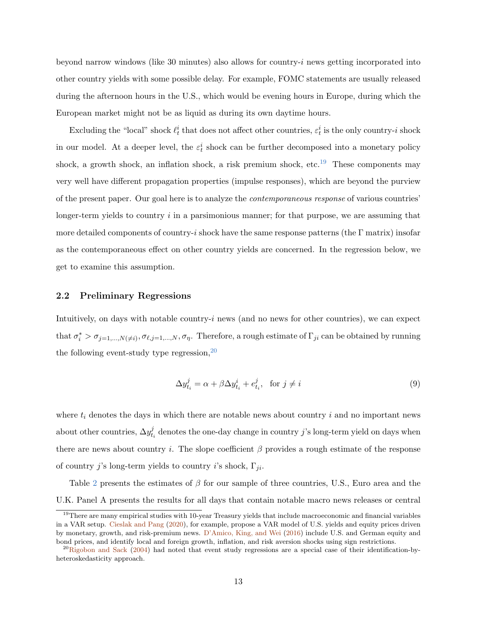beyond narrow windows (like 30 minutes) also allows for country- $i$  news getting incorporated into other country yields with some possible delay. For example, FOMC statements are usually released during the afternoon hours in the U.S., which would be evening hours in Europe, during which the European market might not be as liquid as during its own daytime hours.

Excluding the "local" shock  $\ell_t^i$  that does not affect other countries,  $\varepsilon_t^i$  is the only country-*i* shock in our model. At a deeper level, the  $\varepsilon_t^i$  shock can be further decomposed into a monetary policy shock, a growth shock, an inflation shock, a risk premium shock, etc.<sup>[19](#page-14-0)</sup> These components may very well have different propagation properties (impulse responses), which are beyond the purview of the present paper. Our goal here is to analyze the contemporaneous response of various countries' longer-term yields to country  $i$  in a parsimonious manner; for that purpose, we are assuming that more detailed components of country-i shock have the same response patterns (the  $\Gamma$  matrix) insofar as the contemporaneous effect on other country yields are concerned. In the regression below, we get to examine this assumption.

## 2.2 Preliminary Regressions

Intuitively, on days with notable country- $i$  news (and no news for other countries), we can expect that  $\sigma_i^* > \sigma_{j=1,\dots,N(\neq i)}, \sigma_{\ell,j=1,\dots,N}, \sigma_{\eta}$ . Therefore, a rough estimate of  $\Gamma_{ji}$  can be obtained by running the following event-study type regression,  $20$ 

<span id="page-14-2"></span>
$$
\Delta y_{t_i}^j = \alpha + \beta \Delta y_{t_i}^i + e_{t_i}^j, \quad \text{for } j \neq i
$$
\n
$$
(9)
$$

where  $t_i$  denotes the days in which there are notable news about country i and no important news about other countries,  $\Delta y_t^j$  $t_i$  denotes the one-day change in country j's long-term yield on days when there are news about country i. The slope coefficient  $\beta$  provides a rough estimate of the response of country j's long-term yields to country i's shock,  $\Gamma_{ji}$ .

Table [2](#page-46-0) presents the estimates of  $\beta$  for our sample of three countries, U.S., Euro area and the U.K. Panel A presents the results for all days that contain notable macro news releases or central

<span id="page-14-0"></span> $19$ There are many empirical studies with 10-year Treasury yields that include macroeconomic and financial variables in a VAR setup. [Cieslak and Pang](#page-37-9) [\(2020\)](#page-37-9), for example, propose a VAR model of U.S. yields and equity prices driven by monetary, growth, and risk-premium news. [D'Amico, King, and Wei](#page-37-10) [\(2016\)](#page-37-10) include U.S. and German equity and bond prices, and identify local and foreign growth, inflation, and risk aversion shocks using sign restrictions.

<span id="page-14-1"></span><sup>&</sup>lt;sup>20</sup>[Rigobon and Sack](#page-40-2) [\(2004\)](#page-40-2) had noted that event study regressions are a special case of their identification-byheteroskedasticity approach.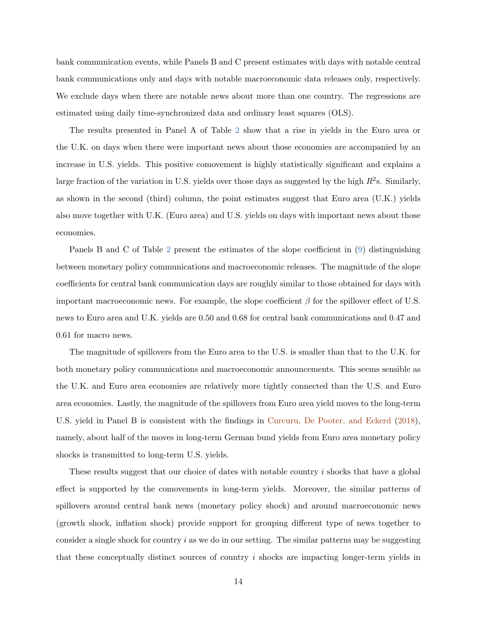bank communication events, while Panels B and C present estimates with days with notable central bank communications only and days with notable macroeconomic data releases only, respectively. We exclude days when there are notable news about more than one country. The regressions are estimated using daily time-synchronized data and ordinary least squares (OLS).

The results presented in Panel A of Table [2](#page-46-0) show that a rise in yields in the Euro area or the U.K. on days when there were important news about those economies are accompanied by an increase in U.S. yields. This positive comovement is highly statistically significant and explains a large fraction of the variation in U.S. yields over those days as suggested by the high  $R^2$ s. Similarly, as shown in the second (third) column, the point estimates suggest that Euro area (U.K.) yields also move together with U.K. (Euro area) and U.S. yields on days with important news about those economies.

Panels B and C of Table [2](#page-46-0) present the estimates of the slope coefficient in [\(9\)](#page-14-2) distinguishing between monetary policy communications and macroeconomic releases. The magnitude of the slope coefficients for central bank communication days are roughly similar to those obtained for days with important macroeconomic news. For example, the slope coefficient  $\beta$  for the spillover effect of U.S. news to Euro area and U.K. yields are 0.50 and 0.68 for central bank communications and 0.47 and 0.61 for macro news.

The magnitude of spillovers from the Euro area to the U.S. is smaller than that to the U.K. for both monetary policy communications and macroeconomic announcements. This seems sensible as the U.K. and Euro area economies are relatively more tightly connected than the U.S. and Euro area economies. Lastly, the magnitude of the spillovers from Euro area yield moves to the long-term U.S. yield in Panel B is consistent with the findings in [Curcuru, De Pooter, and Eckerd](#page-37-0) [\(2018\)](#page-37-0), namely, about half of the moves in long-term German bund yields from Euro area monetary policy shocks is transmitted to long-term U.S. yields.

These results suggest that our choice of dates with notable country i shocks that have a global effect is supported by the comovements in long-term yields. Moreover, the similar patterns of spillovers around central bank news (monetary policy shock) and around macroeconomic news (growth shock, inflation shock) provide support for grouping different type of news together to consider a single shock for country  $i$  as we do in our setting. The similar patterns may be suggesting that these conceptually distinct sources of country i shocks are impacting longer-term yields in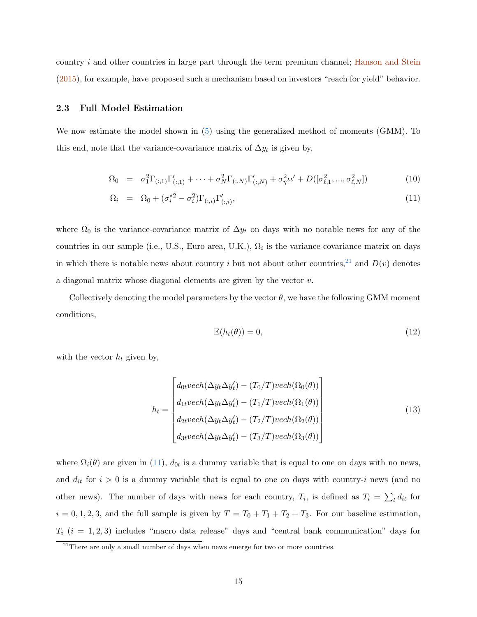country i and other countries in large part through the term premium channel; [Hanson and Stein](#page-38-9) [\(2015\)](#page-38-9), for example, have proposed such a mechanism based on investors "reach for yield" behavior.

## 2.3 Full Model Estimation

We now estimate the model shown in [\(5\)](#page-11-2) using the generalized method of moments (GMM). To this end, note that the variance-covariance matrix of  $\Delta y_t$  is given by,

<span id="page-16-1"></span>
$$
\Omega_0 = \sigma_1^2 \Gamma_{(:,1)} \Gamma'_{(:,1)} + \dots + \sigma_N^2 \Gamma_{(:,N)} \Gamma'_{(:,N)} + \sigma_\eta^2 \iota \iota' + D([\sigma_{\ell,1}^2, ..., \sigma_{\ell,N}^2])
$$
\n(10)

$$
\Omega_i = \Omega_0 + (\sigma_i^{*2} - \sigma_i^2) \Gamma_{(:,i)} \Gamma'_{(:,i)}, \qquad (11)
$$

where  $\Omega_0$  is the variance-covariance matrix of  $\Delta y_t$  on days with no notable news for any of the countries in our sample (i.e., U.S., Euro area, U.K.),  $\Omega_i$  is the variance-covariance matrix on days in which there is notable news about country i but not about other countries,<sup>[21](#page-16-0)</sup> and  $D(v)$  denotes a diagonal matrix whose diagonal elements are given by the vector v.

Collectively denoting the model parameters by the vector  $\theta$ , we have the following GMM moment conditions,

$$
\mathbb{E}(h_t(\theta)) = 0,\t(12)
$$

with the vector  $h_t$  given by,

$$
h_t = \begin{bmatrix} d_{0t}vech(\Delta y_t \Delta y_t') - (T_0/T)vech(\Omega_0(\theta)) \\ d_{1t}vech(\Delta y_t \Delta y_t') - (T_1/T)vech(\Omega_1(\theta)) \\ d_{2t}vech(\Delta y_t \Delta y_t') - (T_2/T)vech(\Omega_2(\theta)) \\ d_{3t}vech(\Delta y_t \Delta y_t') - (T_3/T)vech(\Omega_3(\theta)) \end{bmatrix}
$$
(13)

where  $\Omega_i(\theta)$  are given in [\(11\)](#page-16-1),  $d_{0t}$  is a dummy variable that is equal to one on days with no news, and  $d_{it}$  for  $i > 0$  is a dummy variable that is equal to one on days with country-i news (and no other news). The number of days with news for each country,  $T_i$ , is defined as  $T_i = \sum_t d_{it}$  for  $i = 0, 1, 2, 3$ , and the full sample is given by  $T = T_0 + T_1 + T_2 + T_3$ . For our baseline estimation,  $T_i$  ( $i = 1, 2, 3$ ) includes "macro data release" days and "central bank communication" days for

<span id="page-16-0"></span> $\frac{21}{21}$ There are only a small number of days when news emerge for two or more countries.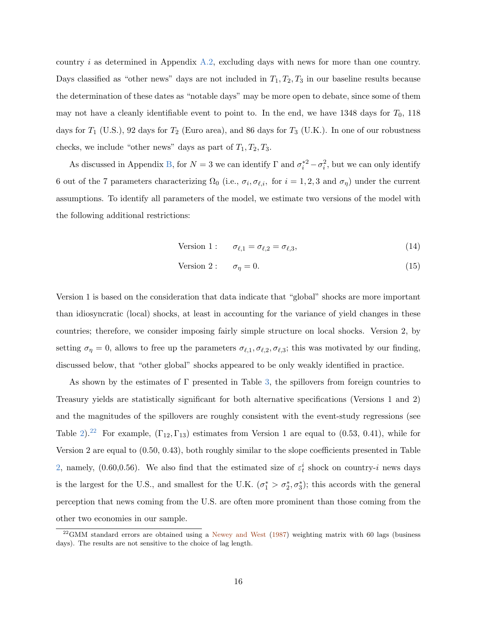country i as determined in Appendix [A.2,](#page-31-0) excluding days with news for more than one country. Days classified as "other news" days are not included in  $T_1, T_2, T_3$  in our baseline results because the determination of these dates as "notable days" may be more open to debate, since some of them may not have a cleanly identifiable event to point to. In the end, we have 1348 days for  $T_0$ , 118 days for  $T_1$  (U.S.), 92 days for  $T_2$  (Euro area), and 86 days for  $T_3$  (U.K.). In one of our robustness checks, we include "other news" days as part of  $T_1, T_2, T_3$ .

As discussed in Appendix [B,](#page-33-0) for  $N=3$  we can identify  $\Gamma$  and  $\sigma_i^{*2} - \sigma_i^2$ , but we can only identify 6 out of the 7 parameters characterizing  $\Omega_0$  (i.e.,  $\sigma_i$ ,  $\sigma_{\ell,i}$ , for  $i = 1, 2, 3$  and  $\sigma_{\eta}$ ) under the current assumptions. To identify all parameters of the model, we estimate two versions of the model with the following additional restrictions:

<span id="page-17-1"></span>
$$
Version 1: \quad \sigma_{\ell,1} = \sigma_{\ell,2} = \sigma_{\ell,3}, \tag{14}
$$

$$
Version 2: \quad \sigma_{\eta} = 0. \tag{15}
$$

Version 1 is based on the consideration that data indicate that "global" shocks are more important than idiosyncratic (local) shocks, at least in accounting for the variance of yield changes in these countries; therefore, we consider imposing fairly simple structure on local shocks. Version 2, by setting  $\sigma_{\eta} = 0$ , allows to free up the parameters  $\sigma_{\ell,1}, \sigma_{\ell,2}, \sigma_{\ell,3}$ ; this was motivated by our finding, discussed below, that "other global" shocks appeared to be only weakly identified in practice.

As shown by the estimates of Γ presented in Table [3,](#page-47-0) the spillovers from foreign countries to Treasury yields are statistically significant for both alternative specifications (Versions 1 and 2) and the magnitudes of the spillovers are roughly consistent with the event-study regressions (see Table [2\)](#page-46-0).<sup>[22](#page-17-0)</sup> For example,  $(\Gamma_{12}, \Gamma_{13})$  estimates from Version 1 are equal to (0.53, 0.41), while for Version 2 are equal to (0.50, 0.43), both roughly similar to the slope coefficients presented in Table [2,](#page-46-0) namely, (0.60,0.56). We also find that the estimated size of  $\varepsilon_t^i$  shock on country-i news days is the largest for the U.S., and smallest for the U.K.  $(\sigma_1^* > \sigma_2^*, \sigma_3^*)$ ; this accords with the general perception that news coming from the U.S. are often more prominent than those coming from the other two economies in our sample.

<span id="page-17-0"></span><sup>&</sup>lt;sup>22</sup>GMM standard errors are obtained using a [Newey and West](#page-39-6) [\(1987\)](#page-39-6) weighting matrix with 60 lags (business days). The results are not sensitive to the choice of lag length.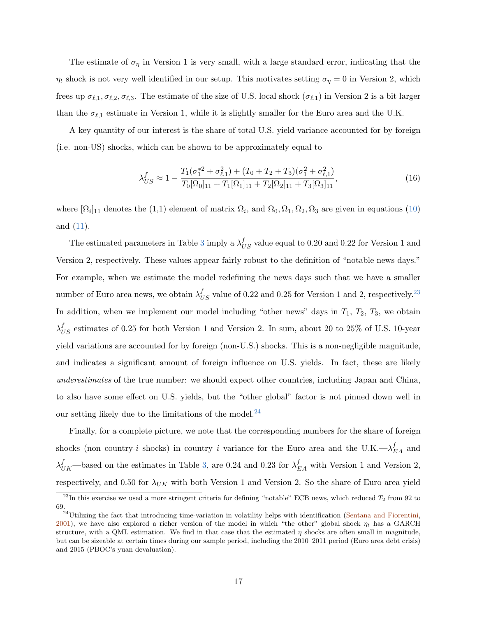The estimate of  $\sigma_{\eta}$  in Version 1 is very small, with a large standard error, indicating that the  $\eta_t$  shock is not very well identified in our setup. This motivates setting  $\sigma_\eta = 0$  in Version 2, which frees up  $\sigma_{\ell,1}, \sigma_{\ell,2}, \sigma_{\ell,3}$ . The estimate of the size of U.S. local shock  $(\sigma_{\ell,1})$  in Version 2 is a bit larger than the  $\sigma_{\ell,1}$  estimate in Version 1, while it is slightly smaller for the Euro area and the U.K.

A key quantity of our interest is the share of total U.S. yield variance accounted for by foreign (i.e. non-US) shocks, which can be shown to be approximately equal to

$$
\lambda_{US}^f \approx 1 - \frac{T_1(\sigma_1^{*2} + \sigma_{\ell,1}^2) + (T_0 + T_2 + T_3)(\sigma_1^2 + \sigma_{\ell,1}^2)}{T_0[\Omega_0]_{11} + T_1[\Omega_1]_{11} + T_2[\Omega_2]_{11} + T_3[\Omega_3]_{11}},\tag{16}
$$

where  $[\Omega_i]_{11}$  denotes the  $(1,1)$  element of matrix  $\Omega_i$ , and  $\Omega_0, \Omega_1, \Omega_2, \Omega_3$  are given in equations  $(10)$ and [\(11\)](#page-16-1).

The estimated parameters in Table [3](#page-47-0) imply a  $\lambda_{US}^f$  value equal to 0.20 and 0.22 for Version 1 and Version 2, respectively. These values appear fairly robust to the definition of "notable news days." For example, when we estimate the model redefining the news days such that we have a smaller number of Euro area news, we obtain  $\lambda_{US}^f$  value of 0.22 and 0.25 for Version 1 and 2, respectively.<sup>[23](#page-18-0)</sup> In addition, when we implement our model including "other news" days in  $T_1$ ,  $T_2$ ,  $T_3$ , we obtain  $\lambda_{US}^f$  estimates of 0.25 for both Version 1 and Version 2. In sum, about 20 to 25% of U.S. 10-year yield variations are accounted for by foreign (non-U.S.) shocks. This is a non-negligible magnitude, and indicates a significant amount of foreign influence on U.S. yields. In fact, these are likely underestimates of the true number: we should expect other countries, including Japan and China, to also have some effect on U.S. yields, but the "other global" factor is not pinned down well in our setting likely due to the limitations of the model. $^{24}$  $^{24}$  $^{24}$ 

Finally, for a complete picture, we note that the corresponding numbers for the share of foreign shocks (non country-*i* shocks) in country *i* variance for the Euro area and the U.K. $-\lambda_{EA}^f$  and  $\lambda_{UK}^{f}$ —based on the estimates in Table [3,](#page-47-0) are 0.24 and 0.23 for  $\lambda_{EA}^{f}$  with Version 1 and Version 2, respectively, and 0.50 for  $\lambda_{UK}$  with both Version 1 and Version 2. So the share of Euro area yield

<span id="page-18-0"></span> $^{23}$ In this exercise we used a more stringent criteria for defining "notable" ECB news, which reduced  $T_2$  from 92 to 69.

<span id="page-18-1"></span> $^{24}$ Utilizing the fact that introducing time-variation in volatility helps with identification [\(Sentana and Fiorentini,](#page-40-8) [2001\)](#page-40-8), we have also explored a richer version of the model in which "the other" global shock  $\eta_t$  has a GARCH structure, with a QML estimation. We find in that case that the estimated  $\eta$  shocks are often small in magnitude. but can be sizeable at certain times during our sample period, including the 2010–2011 period (Euro area debt crisis) and 2015 (PBOC's yuan devaluation).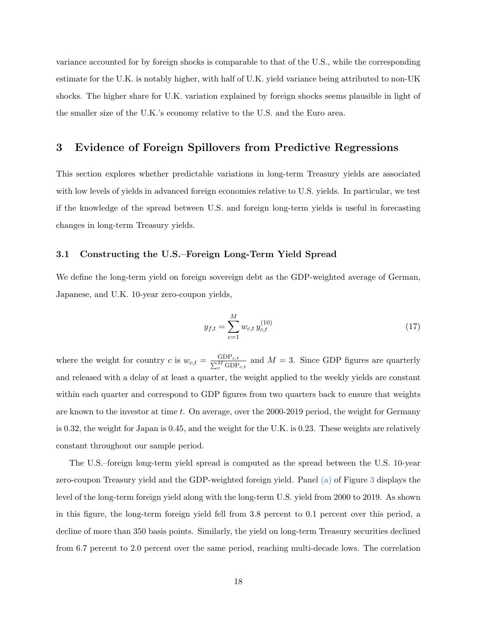variance accounted for by foreign shocks is comparable to that of the U.S., while the corresponding estimate for the U.K. is notably higher, with half of U.K. yield variance being attributed to non-UK shocks. The higher share for U.K. variation explained by foreign shocks seems plausible in light of the smaller size of the U.K.'s economy relative to the U.S. and the Euro area.

# <span id="page-19-0"></span>3 Evidence of Foreign Spillovers from Predictive Regressions

This section explores whether predictable variations in long-term Treasury yields are associated with low levels of yields in advanced foreign economies relative to U.S. yields. In particular, we test if the knowledge of the spread between U.S. and foreign long-term yields is useful in forecasting changes in long-term Treasury yields.

## 3.1 Constructing the U.S.–Foreign Long-Term Yield Spread

We define the long-term yield on foreign sovereign debt as the GDP-weighted average of German, Japanese, and U.K. 10-year zero-coupon yields,

<span id="page-19-1"></span>
$$
y_{f,t} = \sum_{c=1}^{M} w_{c,t} y_{c,t}^{(10)} \tag{17}
$$

where the weight for country c is  $w_{c,t} = \frac{GDP_{c,t}}{\sum_{c}^{M} GDP_{c,t}}$  and  $M = 3$ . Since GDP figures are quarterly and released with a delay of at least a quarter, the weight applied to the weekly yields are constant within each quarter and correspond to GDP figures from two quarters back to ensure that weights are known to the investor at time  $t$ . On average, over the 2000-2019 period, the weight for Germany is 0.32, the weight for Japan is 0.45, and the weight for the U.K. is 0.23. These weights are relatively constant throughout our sample period.

The U.S.–foreign long-term yield spread is computed as the spread between the U.S. 10-year zero-coupon Treasury yield and the GDP-weighted foreign yield. Panel [\(a\)](#page-43-0) of Figure [3](#page-43-1) displays the level of the long-term foreign yield along with the long-term U.S. yield from 2000 to 2019. As shown in this figure, the long-term foreign yield fell from 3.8 percent to 0.1 percent over this period, a decline of more than 350 basis points. Similarly, the yield on long-term Treasury securities declined from 6.7 percent to 2.0 percent over the same period, reaching multi-decade lows. The correlation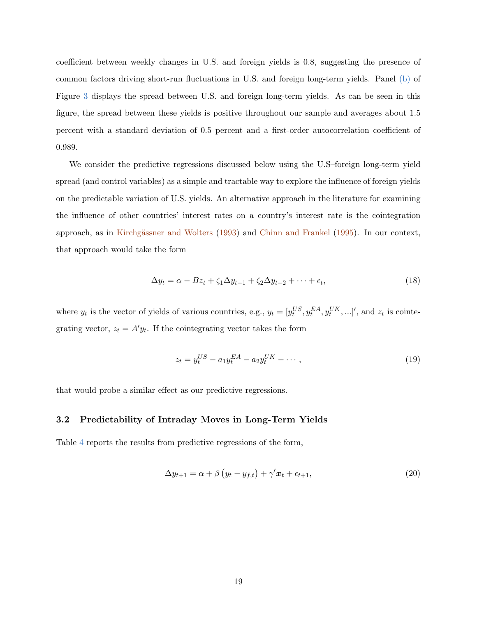coefficient between weekly changes in U.S. and foreign yields is 0.8, suggesting the presence of common factors driving short-run fluctuations in U.S. and foreign long-term yields. Panel [\(b\)](#page-43-2) of Figure [3](#page-43-1) displays the spread between U.S. and foreign long-term yields. As can be seen in this figure, the spread between these yields is positive throughout our sample and averages about 1.5 percent with a standard deviation of 0.5 percent and a first-order autocorrelation coefficient of 0.989.

We consider the predictive regressions discussed below using the U.S–foreign long-term yield spread (and control variables) as a simple and tractable way to explore the influence of foreign yields on the predictable variation of U.S. yields. An alternative approach in the literature for examining the influence of other countries' interest rates on a country's interest rate is the cointegration approach, as in Kirchgässner and Wolters [\(1993\)](#page-39-5) and [Chinn and Frankel](#page-36-6) [\(1995\)](#page-36-6). In our context, that approach would take the form

$$
\Delta y_t = \alpha - Bz_t + \zeta_1 \Delta y_{t-1} + \zeta_2 \Delta y_{t-2} + \dots + \epsilon_t, \tag{18}
$$

where  $y_t$  is the vector of yields of various countries, e.g.,  $y_t = [y_t^{US}, y_t^{EA}, y_t^{UK},...]'$ , and  $z_t$  is cointegrating vector,  $z_t = A'y_t$ . If the cointegrating vector takes the form

$$
z_t = y_t^{US} - a_1 y_t^{EA} - a_2 y_t^{UK} - \dotsb \tag{19}
$$

<span id="page-20-1"></span>that would probe a similar effect as our predictive regressions.

## 3.2 Predictability of Intraday Moves in Long-Term Yields

Table [4](#page-48-0) reports the results from predictive regressions of the form,

<span id="page-20-0"></span>
$$
\Delta y_{t+1} = \alpha + \beta \left( y_t - y_{f,t} \right) + \gamma' x_t + \epsilon_{t+1},\tag{20}
$$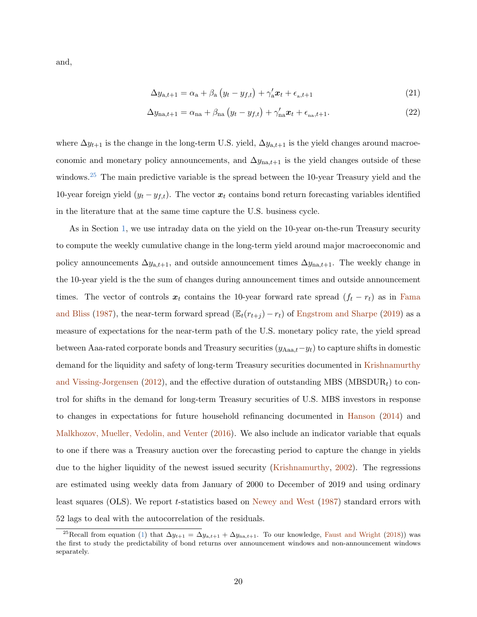and,

<span id="page-21-2"></span><span id="page-21-1"></span>
$$
\Delta y_{a,t+1} = \alpha_a + \beta_a \left( y_t - y_{f,t} \right) + \gamma_a' \boldsymbol{x}_t + \epsilon_{a,t+1} \tag{21}
$$

$$
\Delta y_{\text{na},t+1} = \alpha_{\text{na}} + \beta_{\text{na}} \left( y_t - y_{f,t} \right) + \gamma_{\text{na}}' \boldsymbol{x}_t + \epsilon_{\text{na},t+1}.
$$
\n(22)

where  $\Delta y_{t+1}$  is the change in the long-term U.S. yield,  $\Delta y_{a,t+1}$  is the yield changes around macroeconomic and monetary policy announcements, and  $\Delta y_{na,t+1}$  is the yield changes outside of these windows.<sup>[25](#page-21-0)</sup> The main predictive variable is the spread between the 10-year Treasury yield and the 10-year foreign yield  $(y_t - y_{f,t})$ . The vector  $x_t$  contains bond return forecasting variables identified in the literature that at the same time capture the U.S. business cycle.

As in Section [1,](#page-7-0) we use intraday data on the yield on the 10-year on-the-run Treasury security to compute the weekly cumulative change in the long-term yield around major macroeconomic and policy announcements  $\Delta y_{a,t+1}$ , and outside announcement times  $\Delta y_{na,t+1}$ . The weekly change in the 10-year yield is the the sum of changes during announcement times and outside announcement times. The vector of controls  $x_t$  contains the 10-year forward rate spread  $(f_t - r_t)$  as in [Fama](#page-37-2) [and Bliss](#page-37-2) [\(1987\)](#page-37-2), the near-term forward spread ( $\mathbb{E}_{t}(r_{t+j}) - r_{t}$ ) of [Engstrom and Sharpe](#page-37-1) [\(2019\)](#page-37-1) as a measure of expectations for the near-term path of the U.S. monetary policy rate, the yield spread between Aaa-rated corporate bonds and Treasury securities  $(y_{Aaa,t}-y_t)$  to capture shifts in domestic demand for the liquidity and safety of long-term Treasury securities documented in [Krishnamurthy](#page-39-0) [and Vissing-Jorgensen](#page-39-0) [\(2012\)](#page-39-0), and the effective duration of outstanding MBS (MBSDUR<sub>t</sub>) to control for shifts in the demand for long-term Treasury securities of U.S. MBS investors in response to changes in expectations for future household refinancing documented in [Hanson](#page-38-2) [\(2014\)](#page-38-2) and [Malkhozov, Mueller, Vedolin, and Venter](#page-39-1) [\(2016\)](#page-39-1). We also include an indicator variable that equals to one if there was a Treasury auction over the forecasting period to capture the change in yields due to the higher liquidity of the newest issued security [\(Krishnamurthy,](#page-39-8) [2002\)](#page-39-8). The regressions are estimated using weekly data from January of 2000 to December of 2019 and using ordinary least squares (OLS). We report t-statistics based on [Newey and West](#page-39-6) [\(1987\)](#page-39-6) standard errors with 52 lags to deal with the autocorrelation of the residuals.

<span id="page-21-0"></span><sup>&</sup>lt;sup>25</sup>Recall from equation [\(1\)](#page-7-1) that  $\Delta y_{t+1} = \Delta y_{a,t+1} + \Delta y_{na,t+1}$ . To our knowledge, [Faust and Wright](#page-38-5) [\(2018\)](#page-38-5)) was the first to study the predictability of bond returns over announcement windows and non-announcement windows separately.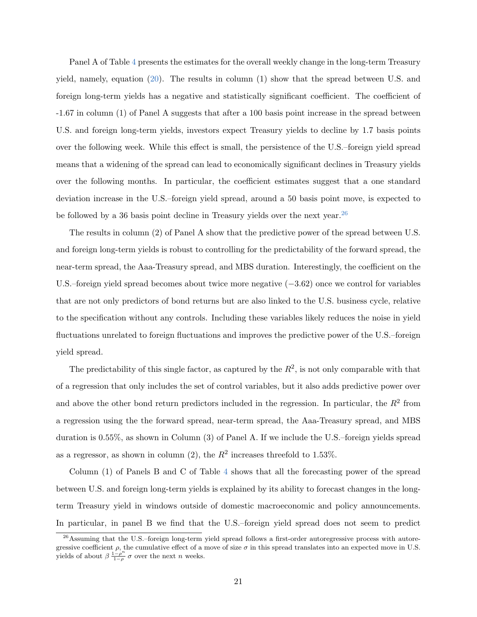Panel A of Table [4](#page-48-0) presents the estimates for the overall weekly change in the long-term Treasury yield, namely, equation [\(20\)](#page-20-0). The results in column (1) show that the spread between U.S. and foreign long-term yields has a negative and statistically significant coefficient. The coefficient of -1.67 in column (1) of Panel A suggests that after a 100 basis point increase in the spread between U.S. and foreign long-term yields, investors expect Treasury yields to decline by 1.7 basis points over the following week. While this effect is small, the persistence of the U.S.–foreign yield spread means that a widening of the spread can lead to economically significant declines in Treasury yields over the following months. In particular, the coefficient estimates suggest that a one standard deviation increase in the U.S.–foreign yield spread, around a 50 basis point move, is expected to be followed by a 36 basis point decline in Treasury yields over the next year.  $^{26}$  $^{26}$  $^{26}$ 

The results in column (2) of Panel A show that the predictive power of the spread between U.S. and foreign long-term yields is robust to controlling for the predictability of the forward spread, the near-term spread, the Aaa-Treasury spread, and MBS duration. Interestingly, the coefficient on the U.S.–foreign yield spread becomes about twice more negative (−3.62) once we control for variables that are not only predictors of bond returns but are also linked to the U.S. business cycle, relative to the specification without any controls. Including these variables likely reduces the noise in yield fluctuations unrelated to foreign fluctuations and improves the predictive power of the U.S.–foreign yield spread.

The predictability of this single factor, as captured by the  $R^2$ , is not only comparable with that of a regression that only includes the set of control variables, but it also adds predictive power over and above the other bond return predictors included in the regression. In particular, the  $R^2$  from a regression using the the forward spread, near-term spread, the Aaa-Treasury spread, and MBS duration is 0.55%, as shown in Column (3) of Panel A. If we include the U.S.–foreign yields spread as a regressor, as shown in column (2), the  $R^2$  increases threefold to 1.53%.

Column (1) of Panels B and C of Table [4](#page-48-0) shows that all the forecasting power of the spread between U.S. and foreign long-term yields is explained by its ability to forecast changes in the longterm Treasury yield in windows outside of domestic macroeconomic and policy announcements. In particular, in panel B we find that the U.S.–foreign yield spread does not seem to predict

<span id="page-22-0"></span><sup>26</sup>Assuming that the U.S.–foreign long-term yield spread follows a first-order autoregressive process with autoregressive coefficient  $\rho$ , the cumulative effect of a move of size  $\sigma$  in this spread translates into an expected move in U.S. yields of about  $\beta \frac{1-\rho^n}{1-\rho^n}$  $\frac{1-\rho}{1-\rho}$   $\sigma$  over the next *n* weeks.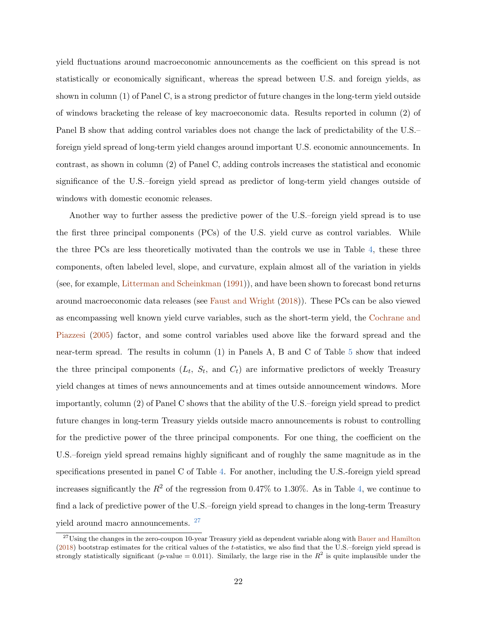yield fluctuations around macroeconomic announcements as the coefficient on this spread is not statistically or economically significant, whereas the spread between U.S. and foreign yields, as shown in column (1) of Panel C, is a strong predictor of future changes in the long-term yield outside of windows bracketing the release of key macroeconomic data. Results reported in column (2) of Panel B show that adding control variables does not change the lack of predictability of the U.S.– foreign yield spread of long-term yield changes around important U.S. economic announcements. In contrast, as shown in column (2) of Panel C, adding controls increases the statistical and economic significance of the U.S.–foreign yield spread as predictor of long-term yield changes outside of windows with domestic economic releases.

Another way to further assess the predictive power of the U.S.–foreign yield spread is to use the first three principal components (PCs) of the U.S. yield curve as control variables. While the three PCs are less theoretically motivated than the controls we use in Table [4,](#page-48-0) these three components, often labeled level, slope, and curvature, explain almost all of the variation in yields (see, for example, [Litterman and Scheinkman](#page-39-9) [\(1991\)](#page-39-9)), and have been shown to forecast bond returns around macroeconomic data releases (see [Faust and Wright](#page-38-5) [\(2018\)](#page-38-5)). These PCs can be also viewed as encompassing well known yield curve variables, such as the short-term yield, the [Cochrane and](#page-37-11) [Piazzesi](#page-37-11) [\(2005\)](#page-37-11) factor, and some control variables used above like the forward spread and the near-term spread. The results in column (1) in Panels A, B and C of Table [5](#page-49-0) show that indeed the three principal components  $(L_t, S_t, \text{ and } C_t)$  are informative predictors of weekly Treasury yield changes at times of news announcements and at times outside announcement windows. More importantly, column (2) of Panel C shows that the ability of the U.S.–foreign yield spread to predict future changes in long-term Treasury yields outside macro announcements is robust to controlling for the predictive power of the three principal components. For one thing, the coefficient on the U.S.–foreign yield spread remains highly significant and of roughly the same magnitude as in the specifications presented in panel C of Table [4.](#page-48-0) For another, including the U.S.-foreign yield spread increases significantly the  $R^2$  of the regression from 0.47% to 1.30%. As in Table [4,](#page-48-0) we continue to find a lack of predictive power of the U.S.–foreign yield spread to changes in the long-term Treasury yield around macro announcements. <sup>[27](#page-23-0)</sup>

<span id="page-23-0"></span> $27$ Using the changes in the zero-coupon 10-year Treasury yield as dependent variable along with [Bauer and Hamilton](#page-36-9) [\(2018\)](#page-36-9) bootstrap estimates for the critical values of the t-statistics, we also find that the U.S.–foreign yield spread is strongly statistically significant (p-value = 0.011). Similarly, the large rise in the  $R^2$  is quite implausible under the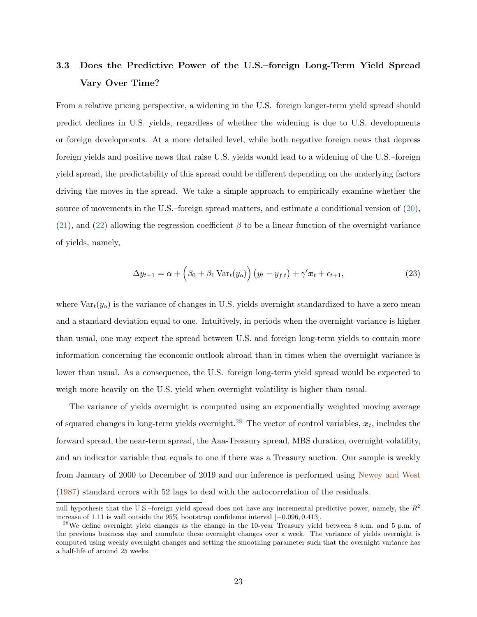# 3.3 Does the Predictive Power of the U.S.–foreign Long-Term Yield Spread Vary Over Time?

From a relative pricing perspective, a widening in the U.S.–foreign longer-term yield spread should predict declines in U.S. yields, regardless of whether the widening is due to U.S. developments or foreign developments. At a more detailed level, while both negative foreign news that depress foreign yields and positive news that raise U.S. yields would lead to a widening of the U.S.–foreign yield spread, the predictability of this spread could be different depending on the underlying factors driving the moves in the spread. We take a simple approach to empirically examine whether the source of movements in the U.S.–foreign spread matters, and estimate a conditional version of  $(20)$ , [\(21\)](#page-21-1), and [\(22\)](#page-21-2) allowing the regression coefficient  $\beta$  to be a linear function of the overnight variance of yields, namely,

$$
\Delta y_{t+1} = \alpha + \left(\beta_0 + \beta_1 \operatorname{Var}_t(y_0)\right) \left(y_t - y_{f,t}\right) + \gamma' \boldsymbol{x}_t + \epsilon_{t+1},\tag{23}
$$

where  $Var_t(y_0)$  is the variance of changes in U.S. yields overnight standardized to have a zero mean and a standard deviation equal to one. Intuitively, in periods when the overnight variance is higher than usual, one may expect the spread between U.S. and foreign long-term yields to contain more information concerning the economic outlook abroad than in times when the overnight variance is lower than usual. As a consequence, the U.S.–foreign long-term yield spread would be expected to weigh more heavily on the U.S. yield when overnight volatility is higher than usual.

The variance of yields overnight is computed using an exponentially weighted moving average of squared changes in long-term yields overnight.<sup>[28](#page-24-0)</sup> The vector of control variables,  $x_t$ , includes the forward spread, the near-term spread, the Aaa-Treasury spread, MBS duration, overnight volatility, and an indicator variable that equals to one if there was a Treasury auction. Our sample is weekly from January of 2000 to December of 2019 and our inference is performed using [Newey and West](#page-39-6) [\(1987\)](#page-39-6) standard errors with 52 lags to deal with the autocorrelation of the residuals.

null hypothesis that the U.S.–foreign yield spread does not have any incremental predictive power, namely, the  $R^2$ increase of 1.11 is well outside the 95% bootstrap confidence interval [−0.096, 0.413].

<span id="page-24-0"></span><sup>&</sup>lt;sup>28</sup>We define overnight yield changes as the change in the 10-year Treasury yield between 8 a.m. and 5 p.m. of the previous business day and cumulate these overnight changes over a week. The variance of yields overnight is computed using weekly overnight changes and setting the smoothing parameter such that the overnight variance has a half-life of around 25 weeks.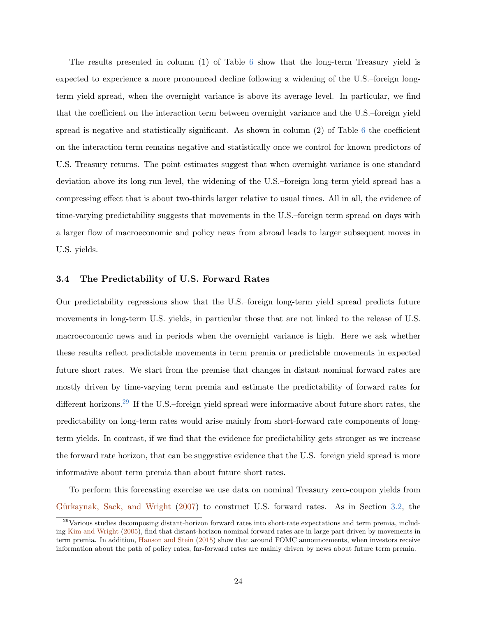The results presented in column (1) of Table [6](#page-50-0) show that the long-term Treasury yield is expected to experience a more pronounced decline following a widening of the U.S.–foreign longterm yield spread, when the overnight variance is above its average level. In particular, we find that the coefficient on the interaction term between overnight variance and the U.S.–foreign yield spread is negative and statistically significant. As shown in column (2) of Table [6](#page-50-0) the coefficient on the interaction term remains negative and statistically once we control for known predictors of U.S. Treasury returns. The point estimates suggest that when overnight variance is one standard deviation above its long-run level, the widening of the U.S.–foreign long-term yield spread has a compressing effect that is about two-thirds larger relative to usual times. All in all, the evidence of time-varying predictability suggests that movements in the U.S.–foreign term spread on days with a larger flow of macroeconomic and policy news from abroad leads to larger subsequent moves in U.S. yields.

## 3.4 The Predictability of U.S. Forward Rates

Our predictability regressions show that the U.S.–foreign long-term yield spread predicts future movements in long-term U.S. yields, in particular those that are not linked to the release of U.S. macroeconomic news and in periods when the overnight variance is high. Here we ask whether these results reflect predictable movements in term premia or predictable movements in expected future short rates. We start from the premise that changes in distant nominal forward rates are mostly driven by time-varying term premia and estimate the predictability of forward rates for different horizons.<sup>[29](#page-25-0)</sup> If the U.S.–foreign yield spread were informative about future short rates, the predictability on long-term rates would arise mainly from short-forward rate components of longterm yields. In contrast, if we find that the evidence for predictability gets stronger as we increase the forward rate horizon, that can be suggestive evidence that the U.S.–foreign yield spread is more informative about term premia than about future short rates.

To perform this forecasting exercise we use data on nominal Treasury zero-coupon yields from Gürkaynak, Sack, and Wright [\(2007\)](#page-38-10) to construct U.S. forward rates. As in Section [3.2,](#page-20-1) the

<span id="page-25-0"></span> $^{29}$ Various studies decomposing distant-horizon forward rates into short-rate expectations and term premia, including [Kim and Wright](#page-39-10) [\(2005\)](#page-39-10), find that distant-horizon nominal forward rates are in large part driven by movements in term premia. In addition, [Hanson and Stein](#page-38-9) [\(2015\)](#page-38-9) show that around FOMC announcements, when investors receive information about the path of policy rates, far-forward rates are mainly driven by news about future term premia.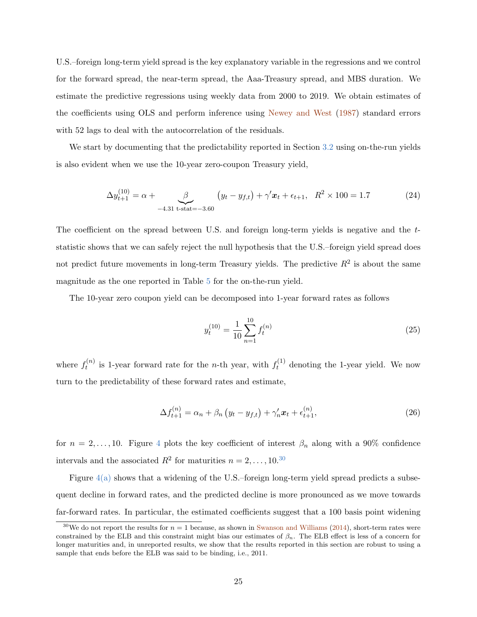U.S.–foreign long-term yield spread is the key explanatory variable in the regressions and we control for the forward spread, the near-term spread, the Aaa-Treasury spread, and MBS duration. We estimate the predictive regressions using weekly data from 2000 to 2019. We obtain estimates of the coefficients using OLS and perform inference using [Newey and West](#page-39-6) [\(1987\)](#page-39-6) standard errors with 52 lags to deal with the autocorrelation of the residuals.

We start by documenting that the predictability reported in Section [3.2](#page-20-1) using on-the-run yields is also evident when we use the 10-year zero-coupon Treasury yield,

$$
\Delta y_{t+1}^{(10)} = \alpha + \underbrace{\beta}_{-4.31 \text{ t-stat} = -3.60} (y_t - y_{f,t}) + \gamma' x_t + \epsilon_{t+1}, \quad R^2 \times 100 = 1.7
$$
 (24)

The coefficient on the spread between U.S. and foreign long-term yields is negative and the tstatistic shows that we can safely reject the null hypothesis that the U.S.–foreign yield spread does not predict future movements in long-term Treasury yields. The predictive  $R^2$  is about the same magnitude as the one reported in Table [5](#page-49-0) for the on-the-run yield.

The 10-year zero coupon yield can be decomposed into 1-year forward rates as follows

$$
y_t^{(10)} = \frac{1}{10} \sum_{n=1}^{10} f_t^{(n)} \tag{25}
$$

where  $f_t^{(n)}$  $t_t^{(n)}$  is 1-year forward rate for the *n*-th year, with  $f_t^{(1)}$  denoting the 1-year yield. We now turn to the predictability of these forward rates and estimate,

<span id="page-26-1"></span>
$$
\Delta f_{t+1}^{(n)} = \alpha_n + \beta_n \left( y_t - y_{f,t} \right) + \gamma_n' \boldsymbol{x}_t + \epsilon_{t+1}^{(n)}, \tag{26}
$$

for  $n = 2, \ldots, 10$ . Figure [4](#page-44-0) plots the key coefficient of interest  $\beta_n$  along with a 90% confidence intervals and the associated  $R^2$  for maturities  $n = 2, \ldots, 10^{30}$  $n = 2, \ldots, 10^{30}$  $n = 2, \ldots, 10^{30}$ 

Figure  $4(a)$  shows that a widening of the U.S.–foreign long-term yield spread predicts a subsequent decline in forward rates, and the predicted decline is more pronounced as we move towards far-forward rates. In particular, the estimated coefficients suggest that a 100 basis point widening

<span id="page-26-0"></span><sup>&</sup>lt;sup>30</sup>We do not report the results for  $n = 1$  because, as shown in [Swanson and Williams](#page-40-5) [\(2014\)](#page-40-5), short-term rates were constrained by the ELB and this constraint might bias our estimates of  $\beta_n$ . The ELB effect is less of a concern for longer maturities and, in unreported results, we show that the results reported in this section are robust to using a sample that ends before the ELB was said to be binding, i.e., 2011.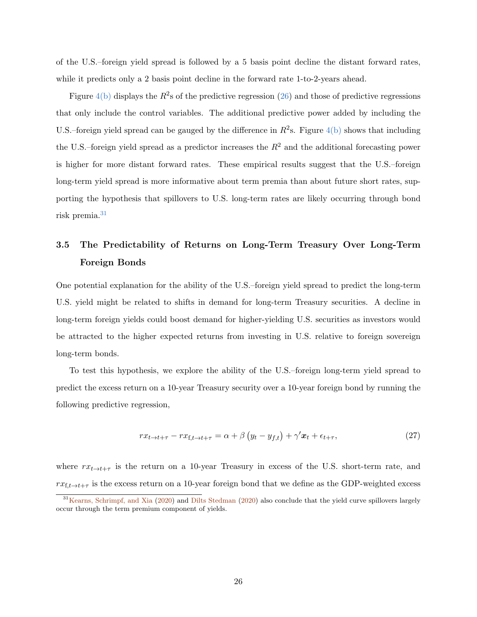of the U.S.–foreign yield spread is followed by a 5 basis point decline the distant forward rates, while it predicts only a 2 basis point decline in the forward rate 1-to-2-years ahead.

Figure  $4(b)$  displays the  $R^2$ s of the predictive regression [\(26\)](#page-26-1) and those of predictive regressions that only include the control variables. The additional predictive power added by including the U.S.–foreign yield spread can be gauged by the difference in  $R^2$ s. Figure [4\(b\)](#page-44-2) shows that including the U.S.–foreign yield spread as a predictor increases the  $R^2$  and the additional forecasting power is higher for more distant forward rates. These empirical results suggest that the U.S.–foreign long-term yield spread is more informative about term premia than about future short rates, supporting the hypothesis that spillovers to U.S. long-term rates are likely occurring through bond risk premia.[31](#page-27-0)

# 3.5 The Predictability of Returns on Long-Term Treasury Over Long-Term Foreign Bonds

One potential explanation for the ability of the U.S.–foreign yield spread to predict the long-term U.S. yield might be related to shifts in demand for long-term Treasury securities. A decline in long-term foreign yields could boost demand for higher-yielding U.S. securities as investors would be attracted to the higher expected returns from investing in U.S. relative to foreign sovereign long-term bonds.

To test this hypothesis, we explore the ability of the U.S.–foreign long-term yield spread to predict the excess return on a 10-year Treasury security over a 10-year foreign bond by running the following predictive regression,

<span id="page-27-1"></span>
$$
rx_{t\to t+\tau} - rx_{f,t\to t+\tau} = \alpha + \beta \left( y_t - y_{f,t} \right) + \gamma' x_t + \epsilon_{t+\tau},
$$
\n(27)

where  $rx_{t\rightarrow t+\tau}$  is the return on a 10-year Treasury in excess of the U.S. short-term rate, and  $rx_{f,t\rightarrow t+\tau}$  is the excess return on a 10-year foreign bond that we define as the GDP-weighted excess

<span id="page-27-0"></span> $31$ [Kearns, Schrimpf, and Xia](#page-39-4) [\(2020\)](#page-37-7) and [Dilts Stedman](#page-37-7) (2020) also conclude that the yield curve spillovers largely occur through the term premium component of yields.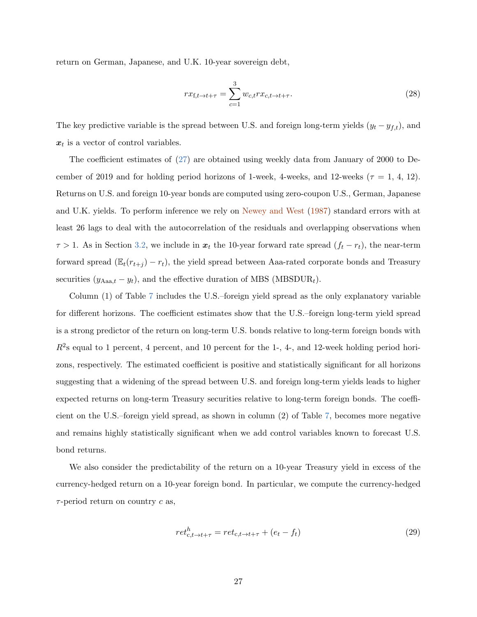return on German, Japanese, and U.K. 10-year sovereign debt,

<span id="page-28-0"></span>
$$
rx_{\mathbf{f},t \to t+\tau} = \sum_{c=1}^{3} w_{c,t} rx_{c,t \to t+\tau}.
$$
\n(28)

The key predictive variable is the spread between U.S. and foreign long-term yields  $(y_t - y_{f,t})$ , and  $x_t$  is a vector of control variables.

The coefficient estimates of [\(27\)](#page-27-1) are obtained using weekly data from January of 2000 to December of 2019 and for holding period horizons of 1-week, 4-weeks, and 12-weeks ( $\tau = 1, 4, 12$ ). Returns on U.S. and foreign 10-year bonds are computed using zero-coupon U.S., German, Japanese and U.K. yields. To perform inference we rely on [Newey and West](#page-39-6) [\(1987\)](#page-39-6) standard errors with at least 26 lags to deal with the autocorrelation of the residuals and overlapping observations when  $\tau > 1$ . As in Section [3.2,](#page-20-1) we include in  $x_t$  the 10-year forward rate spread  $(f_t - r_t)$ , the near-term forward spread ( $\mathbb{E}_t(r_{t+j}) - r_t$ ), the yield spread between Aaa-rated corporate bonds and Treasury securities  $(y_{Aaa,t} - y_t)$ , and the effective duration of MBS (MBSDUR<sub>t</sub>).

Column (1) of Table [7](#page-51-0) includes the U.S.–foreign yield spread as the only explanatory variable for different horizons. The coefficient estimates show that the U.S.–foreign long-term yield spread is a strong predictor of the return on long-term U.S. bonds relative to long-term foreign bonds with  $R^2$ s equal to 1 percent, 4 percent, and 10 percent for the 1-, 4-, and 12-week holding period horizons, respectively. The estimated coefficient is positive and statistically significant for all horizons suggesting that a widening of the spread between U.S. and foreign long-term yields leads to higher expected returns on long-term Treasury securities relative to long-term foreign bonds. The coefficient on the U.S.–foreign yield spread, as shown in column (2) of Table [7,](#page-51-0) becomes more negative and remains highly statistically significant when we add control variables known to forecast U.S. bond returns.

We also consider the predictability of the return on a 10-year Treasury yield in excess of the currency-hedged return on a 10-year foreign bond. In particular, we compute the currency-hedged  $\tau$ -period return on country  $c$  as,

$$
ret_{c,t \to t+\tau}^h = ret_{c,t \to t+\tau} + (e_t - f_t)
$$
\n
$$
(29)
$$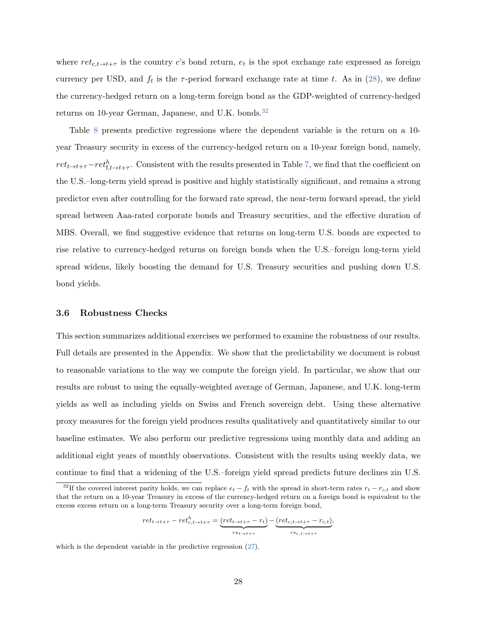where  $ret_{c,t\to t+\tau}$  is the country c's bond return,  $e_t$  is the spot exchange rate expressed as foreign currency per USD, and  $f_t$  is the  $\tau$ -period forward exchange rate at time t. As in [\(28\)](#page-28-0), we define the currency-hedged return on a long-term foreign bond as the GDP-weighted of currency-hedged returns on 10-year German, Japanese, and U.K. bonds.<sup>[32](#page-29-0)</sup>

Table [8](#page-52-0) presents predictive regressions where the dependent variable is the return on a 10 year Treasury security in excess of the currency-hedged return on a 10-year foreign bond, namely,  $ret_{t\to t+\tau}-ret_{f,t\to t+\tau}^h$ . Consistent with the results presented in Table [7,](#page-51-0) we find that the coefficient on the U.S.–long-term yield spread is positive and highly statistically significant, and remains a strong predictor even after controlling for the forward rate spread, the near-term forward spread, the yield spread between Aaa-rated corporate bonds and Treasury securities, and the effective duration of MBS. Overall, we find suggestive evidence that returns on long-term U.S. bonds are expected to rise relative to currency-hedged returns on foreign bonds when the U.S.–foreign long-term yield spread widens, likely boosting the demand for U.S. Treasury securities and pushing down U.S. bond yields.

## 3.6 Robustness Checks

This section summarizes additional exercises we performed to examine the robustness of our results. Full details are presented in the Appendix. We show that the predictability we document is robust to reasonable variations to the way we compute the foreign yield. In particular, we show that our results are robust to using the equally-weighted average of German, Japanese, and U.K. long-term yields as well as including yields on Swiss and French sovereign debt. Using these alternative proxy measures for the foreign yield produces results qualitatively and quantitatively similar to our baseline estimates. We also perform our predictive regressions using monthly data and adding an additional eight years of monthly observations. Consistent with the results using weekly data, we continue to find that a widening of the U.S.–foreign yield spread predicts future declines zin U.S.

$$
ret_{t\rightarrow t+\tau}-ret_{c,t\rightarrow t+\tau}^h=\underbrace{(ret_{t\rightarrow t+\tau}-r_t)}_{rx_{t\rightarrow t+\tau}}-\underbrace{(ret_{c,t\rightarrow t+\tau}-r_{c,t})}_{rx_{c,t\rightarrow t+\tau}},
$$

which is the dependent variable in the predictive regression [\(27\)](#page-27-1).

<span id="page-29-0"></span><sup>&</sup>lt;sup>32</sup>If the covered interest parity holds, we can replace  $e_t - f_t$  with the spread in short-term rates  $r_t - r_{c,t}$  and show that the return on a 10-year Treasury in excess of the currency-hedged return on a foreign bond is equivalent to the excess excess return on a long-term Treasury security over a long-term foreign bond,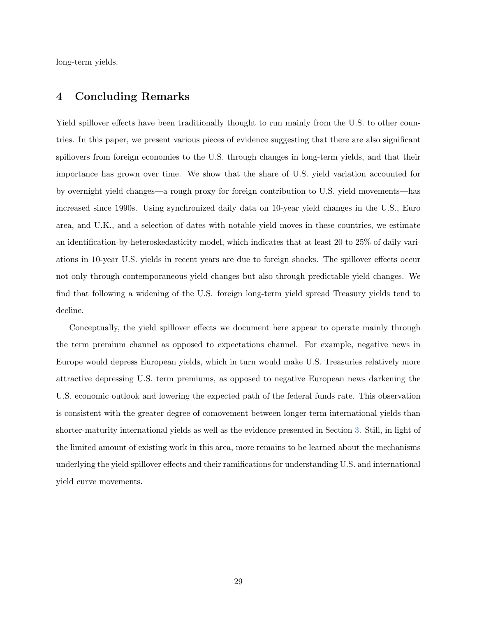long-term yields.

# 4 Concluding Remarks

Yield spillover effects have been traditionally thought to run mainly from the U.S. to other countries. In this paper, we present various pieces of evidence suggesting that there are also significant spillovers from foreign economies to the U.S. through changes in long-term yields, and that their importance has grown over time. We show that the share of U.S. yield variation accounted for by overnight yield changes—a rough proxy for foreign contribution to U.S. yield movements—has increased since 1990s. Using synchronized daily data on 10-year yield changes in the U.S., Euro area, and U.K., and a selection of dates with notable yield moves in these countries, we estimate an identification-by-heteroskedasticity model, which indicates that at least 20 to 25% of daily variations in 10-year U.S. yields in recent years are due to foreign shocks. The spillover effects occur not only through contemporaneous yield changes but also through predictable yield changes. We find that following a widening of the U.S.–foreign long-term yield spread Treasury yields tend to decline.

Conceptually, the yield spillover effects we document here appear to operate mainly through the term premium channel as opposed to expectations channel. For example, negative news in Europe would depress European yields, which in turn would make U.S. Treasuries relatively more attractive depressing U.S. term premiums, as opposed to negative European news darkening the U.S. economic outlook and lowering the expected path of the federal funds rate. This observation is consistent with the greater degree of comovement between longer-term international yields than shorter-maturity international yields as well as the evidence presented in Section [3.](#page-19-0) Still, in light of the limited amount of existing work in this area, more remains to be learned about the mechanisms underlying the yield spillover effects and their ramifications for understanding U.S. and international yield curve movements.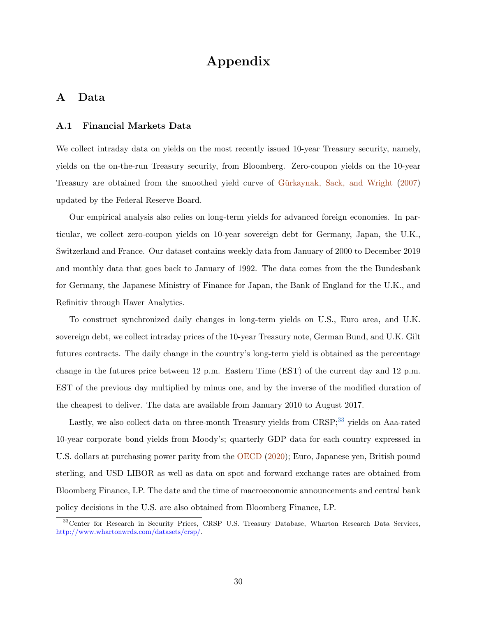# Appendix

# <span id="page-31-1"></span>A Data

## A.1 Financial Markets Data

We collect intraday data on yields on the most recently issued 10-year Treasury security, namely, yields on the on-the-run Treasury security, from Bloomberg. Zero-coupon yields on the 10-year Treasury are obtained from the smoothed yield curve of Gürkaynak, Sack, and Wright [\(2007\)](#page-38-10) updated by the Federal Reserve Board.

Our empirical analysis also relies on long-term yields for advanced foreign economies. In particular, we collect zero-coupon yields on 10-year sovereign debt for Germany, Japan, the U.K., Switzerland and France. Our dataset contains weekly data from January of 2000 to December 2019 and monthly data that goes back to January of 1992. The data comes from the the Bundesbank for Germany, the Japanese Ministry of Finance for Japan, the Bank of England for the U.K., and Refinitiv through Haver Analytics.

To construct synchronized daily changes in long-term yields on U.S., Euro area, and U.K. sovereign debt, we collect intraday prices of the 10-year Treasury note, German Bund, and U.K. Gilt futures contracts. The daily change in the country's long-term yield is obtained as the percentage change in the futures price between 12 p.m. Eastern Time (EST) of the current day and 12 p.m. EST of the previous day multiplied by minus one, and by the inverse of the modified duration of the cheapest to deliver. The data are available from January 2010 to August 2017.

Lastly, we also collect data on three-month Treasury yields from CRSP;<sup>[33](#page-31-2)</sup> yields on Aaa-rated 10-year corporate bond yields from Moody's; quarterly GDP data for each country expressed in U.S. dollars at purchasing power parity from the [OECD](#page-39-11) [\(2020\)](#page-39-11); Euro, Japanese yen, British pound sterling, and USD LIBOR as well as data on spot and forward exchange rates are obtained from Bloomberg Finance, LP. The date and the time of macroeconomic announcements and central bank policy decisions in the U.S. are also obtained from Bloomberg Finance, LP.

<span id="page-31-2"></span><span id="page-31-0"></span><sup>&</sup>lt;sup>33</sup>Center for Research in Security Prices, CRSP U.S. Treasury Database, Wharton Research Data Services, [http://www.whartonwrds.com/datasets/crsp/.](http://www.whartonwrds.com/datasets/crsp/)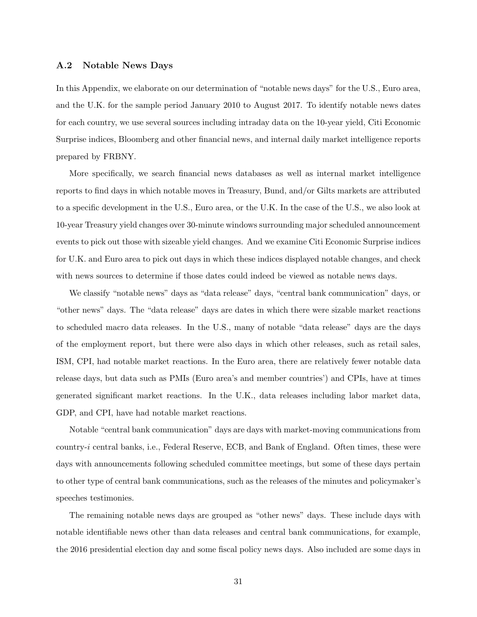#### A.2 Notable News Days

In this Appendix, we elaborate on our determination of "notable news days" for the U.S., Euro area, and the U.K. for the sample period January 2010 to August 2017. To identify notable news dates for each country, we use several sources including intraday data on the 10-year yield, Citi Economic Surprise indices, Bloomberg and other financial news, and internal daily market intelligence reports prepared by FRBNY.

More specifically, we search financial news databases as well as internal market intelligence reports to find days in which notable moves in Treasury, Bund, and/or Gilts markets are attributed to a specific development in the U.S., Euro area, or the U.K. In the case of the U.S., we also look at 10-year Treasury yield changes over 30-minute windows surrounding major scheduled announcement events to pick out those with sizeable yield changes. And we examine Citi Economic Surprise indices for U.K. and Euro area to pick out days in which these indices displayed notable changes, and check with news sources to determine if those dates could indeed be viewed as notable news days.

We classify "notable news" days as "data release" days, "central bank communication" days, or "other news" days. The "data release" days are dates in which there were sizable market reactions to scheduled macro data releases. In the U.S., many of notable "data release" days are the days of the employment report, but there were also days in which other releases, such as retail sales, ISM, CPI, had notable market reactions. In the Euro area, there are relatively fewer notable data release days, but data such as PMIs (Euro area's and member countries') and CPIs, have at times generated significant market reactions. In the U.K., data releases including labor market data, GDP, and CPI, have had notable market reactions.

Notable "central bank communication" days are days with market-moving communications from country-i central banks, i.e., Federal Reserve, ECB, and Bank of England. Often times, these were days with announcements following scheduled committee meetings, but some of these days pertain to other type of central bank communications, such as the releases of the minutes and policymaker's speeches testimonies.

The remaining notable news days are grouped as "other news" days. These include days with notable identifiable news other than data releases and central bank communications, for example, the 2016 presidential election day and some fiscal policy news days. Also included are some days in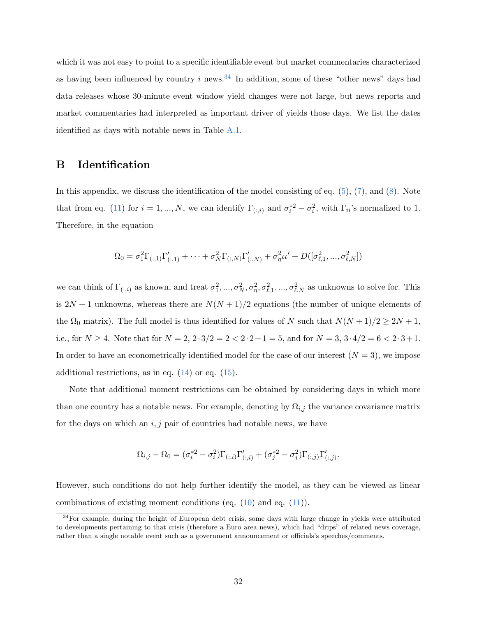which it was not easy to point to a specific identifiable event but market commentaries characterized as having been influenced by country i news.<sup>[34](#page-33-1)</sup> In addition, some of these "other news" days had data releases whose 30-minute event window yield changes were not large, but news reports and market commentaries had interpreted as important driver of yields those days. We list the dates identified as days with notable news in Table [A.1.](#page-45-0)

# <span id="page-33-0"></span>B Identification

In this appendix, we discuss the identification of the model consisting of eq. [\(5\)](#page-11-2), [\(7\)](#page-12-5), and [\(8\)](#page-12-6). Note that from eq. [\(11\)](#page-16-1) for  $i = 1, ..., N$ , we can identify  $\Gamma_{(:,i)}$  and  $\sigma_i^{*2} - \sigma_i^2$ , with  $\Gamma_{ii}$ 's normalized to 1. Therefore, in the equation

$$
\Omega_0 = \sigma_1^2 \Gamma_{(:,1)} \Gamma'_{(:,1)} + \cdots + \sigma_N^2 \Gamma_{(:,N)} \Gamma'_{(:,N)} + \sigma_\eta^2 \iota \iota' + D([\sigma_{\ell,1}^2, ..., \sigma_{\ell,N}^2])
$$

we can think of  $\Gamma_{(:,i)}$  as known, and treat  $\sigma_1^2, ..., \sigma_N^2, \sigma_{\eta}^2, \sigma_{\ell,1}^2, ..., \sigma_{\ell,N}^2$  as unknowns to solve for. This is  $2N + 1$  unknowns, whereas there are  $N(N + 1)/2$  equations (the number of unique elements of the  $\Omega_0$  matrix). The full model is thus identified for values of N such that  $N(N+1)/2 \geq 2N+1$ , i.e., for  $N \ge 4$ . Note that for  $N = 2$ ,  $2 \cdot 3/2 = 2 < 2 \cdot 2 + 1 = 5$ , and for  $N = 3$ ,  $3 \cdot 4/2 = 6 < 2 \cdot 3 + 1$ . In order to have an econometrically identified model for the case of our interest  $(N = 3)$ , we impose additional restrictions, as in eq.  $(14)$  or eq.  $(15)$ .

Note that additional moment restrictions can be obtained by considering days in which more than one country has a notable news. For example, denoting by  $\Omega_{i,j}$  the variance covariance matrix for the days on which an  $i, j$  pair of countries had notable news, we have

$$
\Omega_{i,j} - \Omega_0 = (\sigma_i^{*2} - \sigma_i^2) \Gamma_{(:,i)} \Gamma'_{(:,i)} + (\sigma_j^{*2} - \sigma_j^2) \Gamma_{(:,j)} \Gamma'_{(:,j)}.
$$

However, such conditions do not help further identify the model, as they can be viewed as linear combinations of existing moment conditions (eq.  $(10)$  and eq.  $(11)$ ).

<span id="page-33-1"></span><sup>&</sup>lt;sup>34</sup>For example, during the height of European debt crisis, some days with large change in yields were attributed to developments pertaining to that crisis (therefore a Euro area news), which had "drips" of related news coverage, rather than a single notable event such as a government announcement or officials's speeches/comments.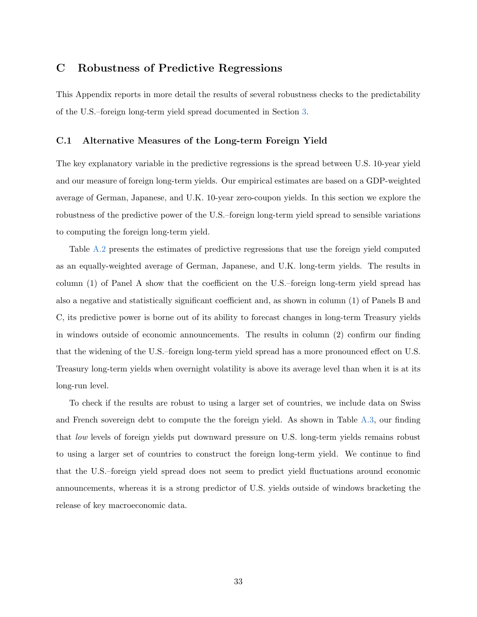# C Robustness of Predictive Regressions

This Appendix reports in more detail the results of several robustness checks to the predictability of the U.S.–foreign long-term yield spread documented in Section [3.](#page-19-0)

# C.1 Alternative Measures of the Long-term Foreign Yield

The key explanatory variable in the predictive regressions is the spread between U.S. 10-year yield and our measure of foreign long-term yields. Our empirical estimates are based on a GDP-weighted average of German, Japanese, and U.K. 10-year zero-coupon yields. In this section we explore the robustness of the predictive power of the U.S.–foreign long-term yield spread to sensible variations to computing the foreign long-term yield.

Table [A.2](#page-46-0) presents the estimates of predictive regressions that use the foreign yield computed as an equally-weighted average of German, Japanese, and U.K. long-term yields. The results in column (1) of Panel A show that the coefficient on the U.S.–foreign long-term yield spread has also a negative and statistically significant coefficient and, as shown in column (1) of Panels B and C, its predictive power is borne out of its ability to forecast changes in long-term Treasury yields in windows outside of economic announcements. The results in column (2) confirm our finding that the widening of the U.S.–foreign long-term yield spread has a more pronounced effect on U.S. Treasury long-term yields when overnight volatility is above its average level than when it is at its long-run level.

To check if the results are robust to using a larger set of countries, we include data on Swiss and French sovereign debt to compute the the foreign yield. As shown in Table [A.3,](#page-47-0) our finding that low levels of foreign yields put downward pressure on U.S. long-term yields remains robust to using a larger set of countries to construct the foreign long-term yield. We continue to find that the U.S.–foreign yield spread does not seem to predict yield fluctuations around economic announcements, whereas it is a strong predictor of U.S. yields outside of windows bracketing the release of key macroeconomic data.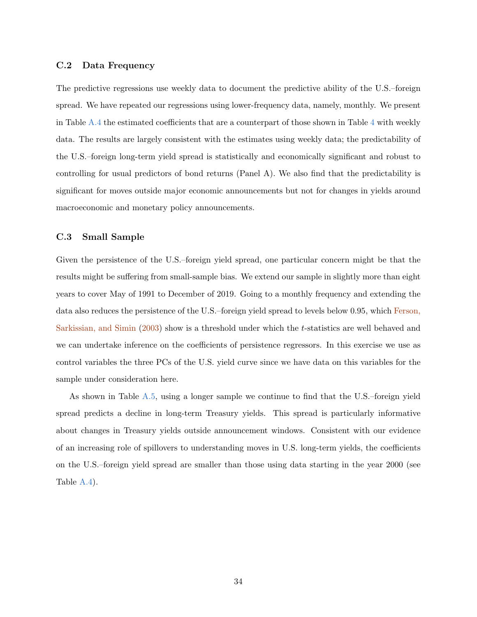### C.2 Data Frequency

The predictive regressions use weekly data to document the predictive ability of the U.S.–foreign spread. We have repeated our regressions using lower-frequency data, namely, monthly. We present in Table [A.4](#page-48-0) the estimated coefficients that are a counterpart of those shown in Table [4](#page-48-0) with weekly data. The results are largely consistent with the estimates using weekly data; the predictability of the U.S.–foreign long-term yield spread is statistically and economically significant and robust to controlling for usual predictors of bond returns (Panel A). We also find that the predictability is significant for moves outside major economic announcements but not for changes in yields around macroeconomic and monetary policy announcements.

# C.3 Small Sample

Given the persistence of the U.S.–foreign yield spread, one particular concern might be that the results might be suffering from small-sample bias. We extend our sample in slightly more than eight years to cover May of 1991 to December of 2019. Going to a monthly frequency and extending the data also reduces the persistence of the U.S.–foreign yield spread to levels below 0.95, which [Ferson,](#page-38-11) [Sarkissian, and Simin](#page-38-11) [\(2003\)](#page-38-11) show is a threshold under which the t-statistics are well behaved and we can undertake inference on the coefficients of persistence regressors. In this exercise we use as control variables the three PCs of the U.S. yield curve since we have data on this variables for the sample under consideration here.

As shown in Table [A.5,](#page-49-0) using a longer sample we continue to find that the U.S.–foreign yield spread predicts a decline in long-term Treasury yields. This spread is particularly informative about changes in Treasury yields outside announcement windows. Consistent with our evidence of an increasing role of spillovers to understanding moves in U.S. long-term yields, the coefficients on the U.S.–foreign yield spread are smaller than those using data starting in the year 2000 (see Table [A.4\)](#page-48-0).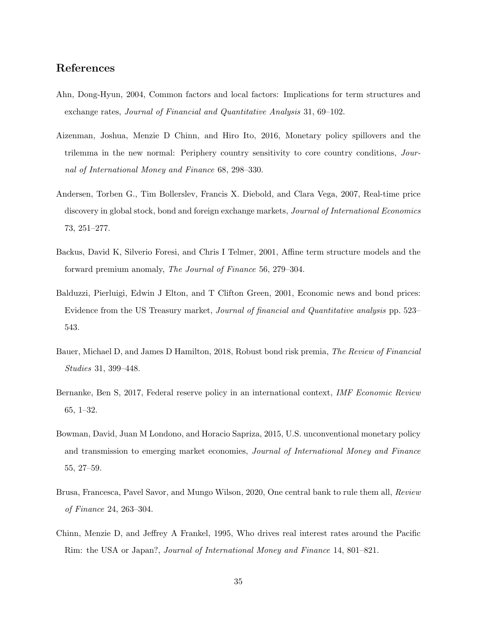# References

- <span id="page-36-2"></span>Ahn, Dong-Hyun, 2004, Common factors and local factors: Implications for term structures and exchange rates, Journal of Financial and Quantitative Analysis 31, 69–102.
- <span id="page-36-4"></span>Aizenman, Joshua, Menzie D Chinn, and Hiro Ito, 2016, Monetary policy spillovers and the trilemma in the new normal: Periphery country sensitivity to core country conditions, Journal of International Money and Finance 68, 298–330.
- <span id="page-36-8"></span>Andersen, Torben G., Tim Bollerslev, Francis X. Diebold, and Clara Vega, 2007, Real-time price discovery in global stock, bond and foreign exchange markets, *Journal of International Economics* 73, 251–277.
- <span id="page-36-1"></span>Backus, David K, Silverio Foresi, and Chris I Telmer, 2001, Affine term structure models and the forward premium anomaly, The Journal of Finance 56, 279–304.
- <span id="page-36-7"></span>Balduzzi, Pierluigi, Edwin J Elton, and T Clifton Green, 2001, Economic news and bond prices: Evidence from the US Treasury market, Journal of financial and Quantitative analysis pp. 523– 543.
- <span id="page-36-9"></span>Bauer, Michael D, and James D Hamilton, 2018, Robust bond risk premia, The Review of Financial Studies 31, 399–448.
- <span id="page-36-5"></span>Bernanke, Ben S, 2017, Federal reserve policy in an international context, IMF Economic Review 65, 1–32.
- <span id="page-36-3"></span>Bowman, David, Juan M Londono, and Horacio Sapriza, 2015, U.S. unconventional monetary policy and transmission to emerging market economies, Journal of International Money and Finance 55, 27–59.
- <span id="page-36-0"></span>Brusa, Francesca, Pavel Savor, and Mungo Wilson, 2020, One central bank to rule them all, Review of Finance 24, 263–304.
- <span id="page-36-6"></span>Chinn, Menzie D, and Jeffrey A Frankel, 1995, Who drives real interest rates around the Pacific Rim: the USA or Japan?, Journal of International Money and Finance 14, 801–821.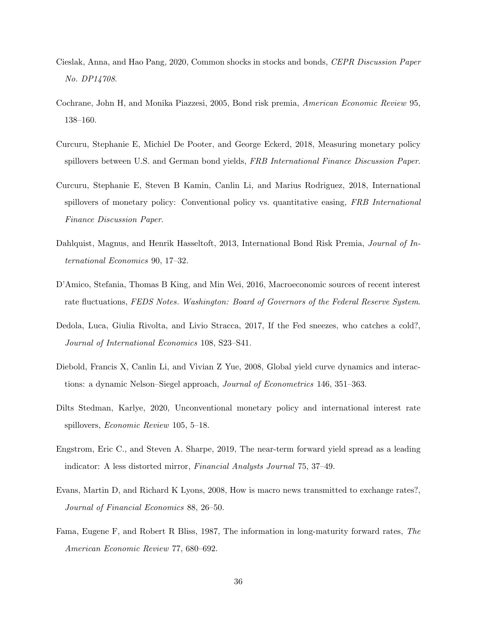- <span id="page-37-9"></span>Cieslak, Anna, and Hao Pang, 2020, Common shocks in stocks and bonds, CEPR Discussion Paper No. DP14708.
- <span id="page-37-11"></span>Cochrane, John H, and Monika Piazzesi, 2005, Bond risk premia, American Economic Review 95, 138–160.
- <span id="page-37-0"></span>Curcuru, Stephanie E, Michiel De Pooter, and George Eckerd, 2018, Measuring monetary policy spillovers between U.S. and German bond yields, FRB International Finance Discussion Paper.
- <span id="page-37-6"></span>Curcuru, Stephanie E, Steven B Kamin, Canlin Li, and Marius Rodriguez, 2018, International spillovers of monetary policy: Conventional policy vs. quantitative easing, FRB International Finance Discussion Paper.
- <span id="page-37-4"></span>Dahlquist, Magnus, and Henrik Hasseltoft, 2013, International Bond Risk Premia, Journal of International Economics 90, 17–32.
- <span id="page-37-10"></span>D'Amico, Stefania, Thomas B King, and Min Wei, 2016, Macroeconomic sources of recent interest rate fluctuations, FEDS Notes. Washington: Board of Governors of the Federal Reserve System.
- <span id="page-37-5"></span>Dedola, Luca, Giulia Rivolta, and Livio Stracca, 2017, If the Fed sneezes, who catches a cold?, Journal of International Economics 108, S23–S41.
- <span id="page-37-3"></span>Diebold, Francis X, Canlin Li, and Vivian Z Yue, 2008, Global yield curve dynamics and interactions: a dynamic Nelson–Siegel approach, Journal of Econometrics 146, 351–363.
- <span id="page-37-7"></span>Dilts Stedman, Karlye, 2020, Unconventional monetary policy and international interest rate spillovers, Economic Review 105, 5–18.
- <span id="page-37-1"></span>Engstrom, Eric C., and Steven A. Sharpe, 2019, The near-term forward yield spread as a leading indicator: A less distorted mirror, Financial Analysts Journal 75, 37–49.
- <span id="page-37-8"></span>Evans, Martin D, and Richard K Lyons, 2008, How is macro news transmitted to exchange rates?, Journal of Financial Economics 88, 26–50.
- <span id="page-37-2"></span>Fama, Eugene F, and Robert R Bliss, 1987, The information in long-maturity forward rates, The American Economic Review 77, 680–692.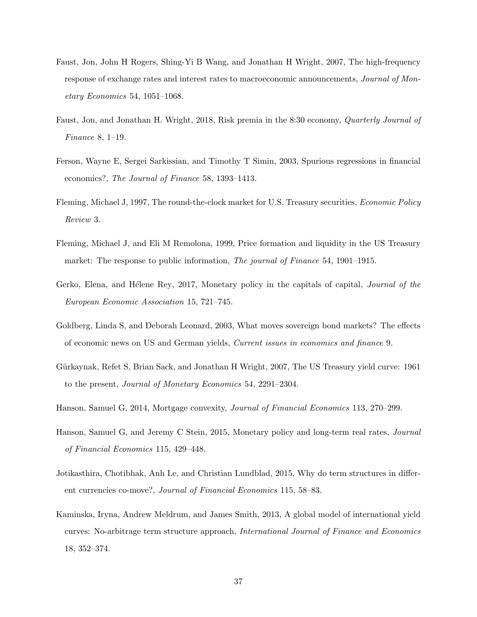- <span id="page-38-7"></span>Faust, Jon, John H Rogers, Shing-Yi B Wang, and Jonathan H Wright, 2007, The high-frequency response of exchange rates and interest rates to macroeconomic announcements, Journal of Monetary Economics 54, 1051–1068.
- <span id="page-38-5"></span>Faust, Jon, and Jonathan H. Wright, 2018, Risk premia in the 8:30 economy, Quarterly Journal of Finance 8, 1–19.
- <span id="page-38-11"></span>Ferson, Wayne E, Sergei Sarkissian, and Timothy T Simin, 2003, Spurious regressions in financial economics?, The Journal of Finance 58, 1393–1413.
- <span id="page-38-8"></span>Fleming, Michael J, 1997, The round-the-clock market for U.S. Treasury securities, Economic Policy Review 3.
- <span id="page-38-6"></span>Fleming, Michael J, and Eli M Remolona, 1999, Price formation and liquidity in the US Treasury market: The response to public information, *The journal of Finance* 54, 1901–1915.
- <span id="page-38-1"></span>Gerko, Elena, and Hélene Rey, 2017, Monetary policy in the capitals of capital, *Journal of the* European Economic Association 15, 721–745.
- <span id="page-38-0"></span>Goldberg, Linda S, and Deborah Leonard, 2003, What moves sovereign bond markets? The effects of economic news on US and German yields, Current issues in economics and finance 9.
- <span id="page-38-10"></span>Gürkaynak, Refet S, Brian Sack, and Jonathan H Wright, 2007, The US Treasury yield curve: 1961 to the present, Journal of Monetary Economics 54, 2291–2304.
- <span id="page-38-2"></span>Hanson, Samuel G, 2014, Mortgage convexity, Journal of Financial Economics 113, 270–299.
- <span id="page-38-9"></span>Hanson, Samuel G, and Jeremy C Stein, 2015, Monetary policy and long-term real rates, Journal of Financial Economics 115, 429–448.
- <span id="page-38-3"></span>Jotikasthira, Chotibhak, Anh Le, and Christian Lundblad, 2015, Why do term structures in different currencies co-move?, Journal of Financial Economics 115, 58–83.
- <span id="page-38-4"></span>Kaminska, Iryna, Andrew Meldrum, and James Smith, 2013, A global model of international yield curves: No-arbitrage term structure approach, International Journal of Finance and Economics 18, 352–374.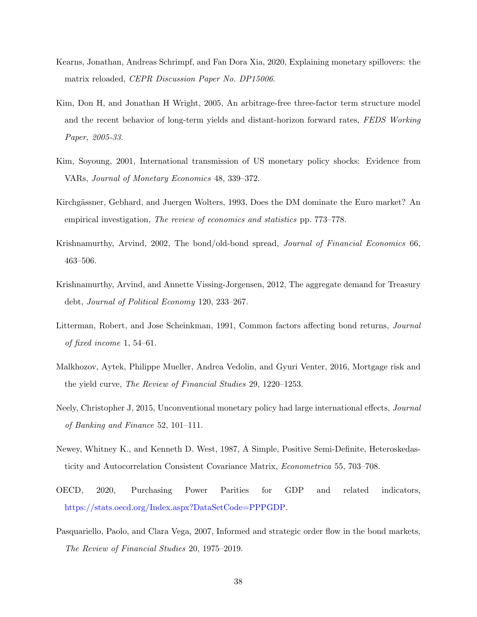- <span id="page-39-4"></span>Kearns, Jonathan, Andreas Schrimpf, and Fan Dora Xia, 2020, Explaining monetary spillovers: the matrix reloaded, CEPR Discussion Paper No. DP15006.
- <span id="page-39-10"></span>Kim, Don H, and Jonathan H Wright, 2005, An arbitrage-free three-factor term structure model and the recent behavior of long-term yields and distant-horizon forward rates, FEDS Working Paper, 2005-33.
- <span id="page-39-2"></span>Kim, Soyoung, 2001, International transmission of US monetary policy shocks: Evidence from VARs, Journal of Monetary Economics 48, 339–372.
- <span id="page-39-5"></span>Kirchgässner, Gebhard, and Juergen Wolters, 1993, Does the DM dominate the Euro market? An empirical investigation, The review of economics and statistics pp. 773–778.
- <span id="page-39-8"></span>Krishnamurthy, Arvind, 2002, The bond/old-bond spread, Journal of Financial Economics 66, 463–506.
- <span id="page-39-0"></span>Krishnamurthy, Arvind, and Annette Vissing-Jorgensen, 2012, The aggregate demand for Treasury debt, Journal of Political Economy 120, 233–267.
- <span id="page-39-9"></span>Litterman, Robert, and Jose Scheinkman, 1991, Common factors affecting bond returns, Journal of fixed income 1, 54–61.
- <span id="page-39-1"></span>Malkhozov, Aytek, Philippe Mueller, Andrea Vedolin, and Gyuri Venter, 2016, Mortgage risk and the yield curve, The Review of Financial Studies 29, 1220–1253.
- <span id="page-39-3"></span>Neely, Christopher J, 2015, Unconventional monetary policy had large international effects, Journal of Banking and Finance 52, 101–111.
- <span id="page-39-6"></span>Newey, Whitney K., and Kenneth D. West, 1987, A Simple, Positive Semi-Definite, Heteroskedasticity and Autocorrelation Consistent Covariance Matrix, Econometrica 55, 703–708.
- <span id="page-39-11"></span>OECD, 2020, Purchasing Power Parities for GDP and related indicators, [https://stats.oecd.org/Index.aspx?DataSetCode=PPPGDP.](https://stats.oecd.org/Index.aspx?DataSetCode=PPPGDP)
- <span id="page-39-7"></span>Pasquariello, Paolo, and Clara Vega, 2007, Informed and strategic order flow in the bond markets, The Review of Financial Studies 20, 1975–2019.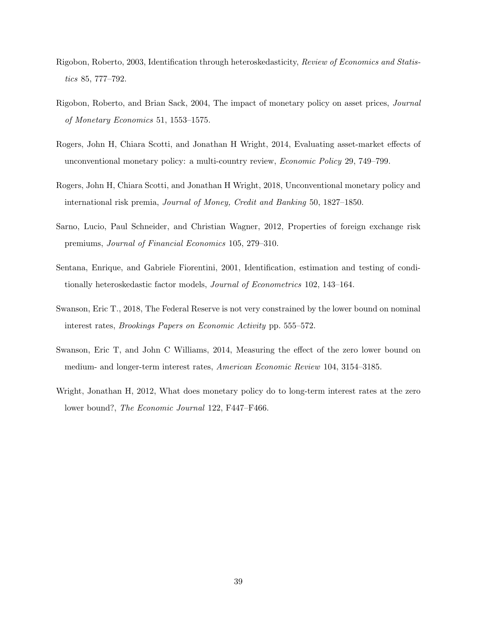- <span id="page-40-1"></span>Rigobon, Roberto, 2003, Identification through heteroskedasticity, Review of Economics and Statistics 85, 777–792.
- <span id="page-40-2"></span>Rigobon, Roberto, and Brian Sack, 2004, The impact of monetary policy on asset prices, Journal of Monetary Economics 51, 1553–1575.
- <span id="page-40-7"></span>Rogers, John H, Chiara Scotti, and Jonathan H Wright, 2014, Evaluating asset-market effects of unconventional monetary policy: a multi-country review, Economic Policy 29, 749–799.
- <span id="page-40-0"></span>Rogers, John H, Chiara Scotti, and Jonathan H Wright, 2018, Unconventional monetary policy and international risk premia, Journal of Money, Credit and Banking 50, 1827–1850.
- <span id="page-40-4"></span>Sarno, Lucio, Paul Schneider, and Christian Wagner, 2012, Properties of foreign exchange risk premiums, Journal of Financial Economics 105, 279–310.
- <span id="page-40-8"></span>Sentana, Enrique, and Gabriele Fiorentini, 2001, Identification, estimation and testing of conditionally heteroskedastic factor models, Journal of Econometrics 102, 143–164.
- <span id="page-40-6"></span>Swanson, Eric T., 2018, The Federal Reserve is not very constrained by the lower bound on nominal interest rates, Brookings Papers on Economic Activity pp. 555–572.
- <span id="page-40-5"></span>Swanson, Eric T, and John C Williams, 2014, Measuring the effect of the zero lower bound on medium- and longer-term interest rates, American Economic Review 104, 3154–3185.
- <span id="page-40-3"></span>Wright, Jonathan H, 2012, What does monetary policy do to long-term interest rates at the zero lower bound?, The Economic Journal 122, F447–F466.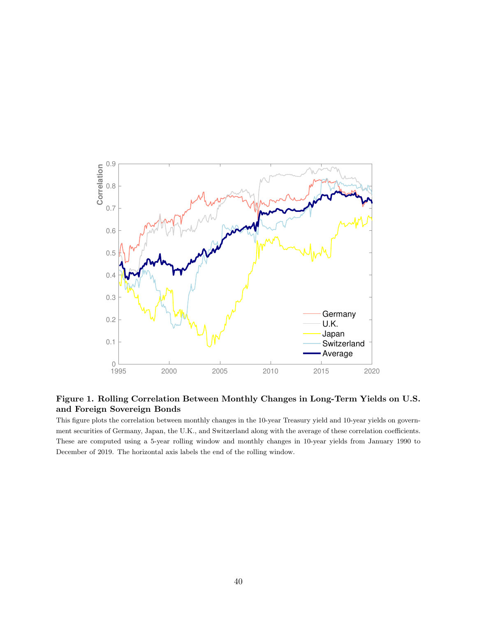

# <span id="page-41-0"></span>Figure 1. Rolling Correlation Between Monthly Changes in Long-Term Yields on U.S. and Foreign Sovereign Bonds

This figure plots the correlation between monthly changes in the 10-year Treasury yield and 10-year yields on government securities of Germany, Japan, the U.K., and Switzerland along with the average of these correlation coefficients. These are computed using a 5-year rolling window and monthly changes in 10-year yields from January 1990 to December of 2019. The horizontal axis labels the end of the rolling window.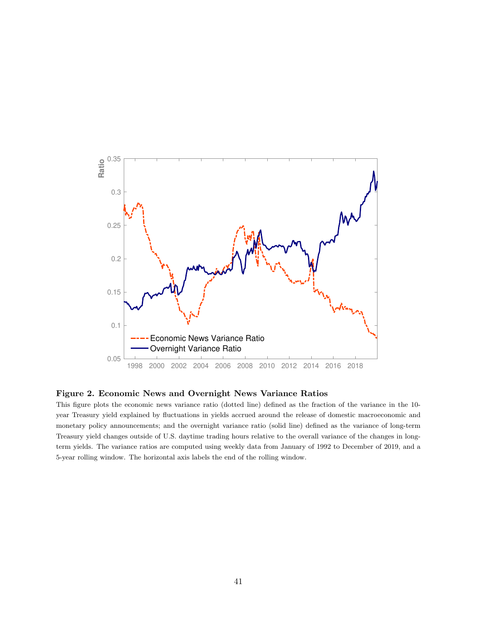

### <span id="page-42-0"></span>Figure 2. Economic News and Overnight News Variance Ratios

This figure plots the economic news variance ratio (dotted line) defined as the fraction of the variance in the 10 year Treasury yield explained by fluctuations in yields accrued around the release of domestic macroeconomic and monetary policy announcements; and the overnight variance ratio (solid line) defined as the variance of long-term Treasury yield changes outside of U.S. daytime trading hours relative to the overall variance of the changes in longterm yields. The variance ratios are computed using weekly data from January of 1992 to December of 2019, and a 5-year rolling window. The horizontal axis labels the end of the rolling window.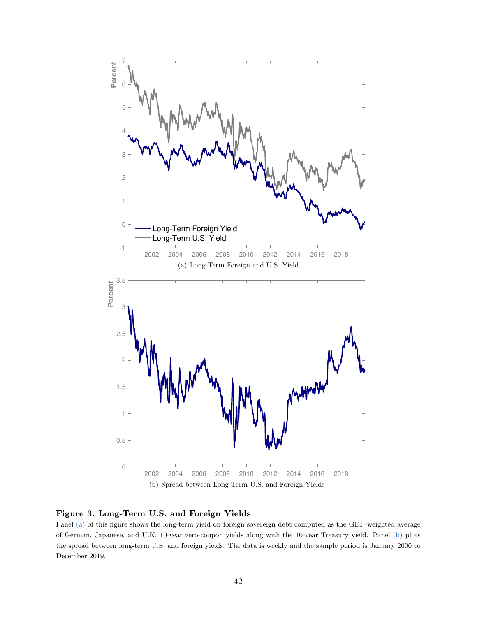<span id="page-43-0"></span>

<span id="page-43-2"></span><span id="page-43-1"></span>

Panel [\(a\)](#page-43-0) of this figure shows the long-term yield on foreign sovereign debt computed as the GDP-weighted average of German, Japanese, and U.K. 10-year zero-coupon yields along with the 10-year Treasury yield. Panel [\(b\)](#page-43-2) plots the spread between long-term U.S. and foreign yields. The data is weekly and the sample period is January 2000 to December 2019.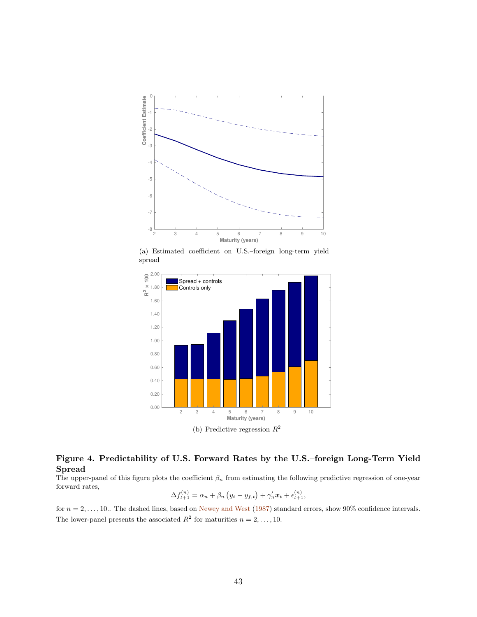<span id="page-44-1"></span>

(a) Estimated coefficient on U.S.–foreign long-term yield spread

<span id="page-44-2"></span>

# <span id="page-44-0"></span>Figure 4. Predictability of U.S. Forward Rates by the U.S.–foreign Long-Term Yield Spread

The upper-panel of this figure plots the coefficient  $\beta_n$  from estimating the following predictive regression of one-year forward rates,

$$
\Delta f_{t+1}^{(n)} = \alpha_n + \beta_n \left( y_t - y_{f,t} \right) + \gamma'_n x_t + \epsilon_{t+1}^{(n)},
$$

for  $n = 2, \ldots, 10$ . The dashed lines, based on [Newey and West](#page-39-6) [\(1987\)](#page-39-6) standard errors, show 90% confidence intervals. The lower-panel presents the associated  $R^2$  for maturities  $n = 2, \ldots, 10$ .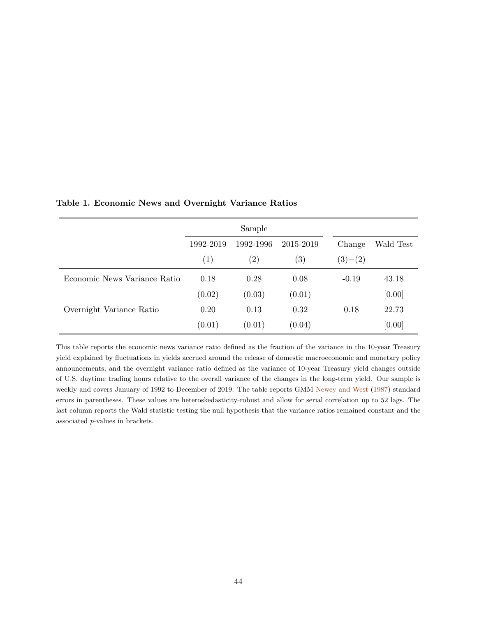|                              |           | Sample            |           |           |           |
|------------------------------|-----------|-------------------|-----------|-----------|-----------|
|                              | 1992-2019 | 1992-1996         | 2015-2019 | Change    | Wald Test |
|                              | (1)       | $\left( 2\right)$ | (3)       | $(3)-(2)$ |           |
| Economic News Variance Ratio | 0.18      | 0.28              | 0.08      | $-0.19$   | 43.18     |
|                              | (0.02)    | (0.03)            | (0.01)    |           | [0.00]    |
| Overnight Variance Ratio     | 0.20      | 0.13              | 0.32      | 0.18      | 22.73     |
|                              | (0.01)    | (0.01)            | (0.04)    |           | [0.00]    |

## <span id="page-45-0"></span>Table 1. Economic News and Overnight Variance Ratios

This table reports the economic news variance ratio defined as the fraction of the variance in the 10-year Treasury yield explained by fluctuations in yields accrued around the release of domestic macroeconomic and monetary policy announcements; and the overnight variance ratio defined as the variance of 10-year Treasury yield changes outside of U.S. daytime trading hours relative to the overall variance of the changes in the long-term yield. Our sample is weekly and covers January of 1992 to December of 2019. The table reports GMM [Newey and West](#page-39-6) [\(1987\)](#page-39-6) standard errors in parentheses. These values are heteroskedasticity-robust and allow for serial correlation up to 52 lags. The last column reports the Wald statistic testing the null hypothesis that the variance ratios remained constant and the associated p-values in brackets.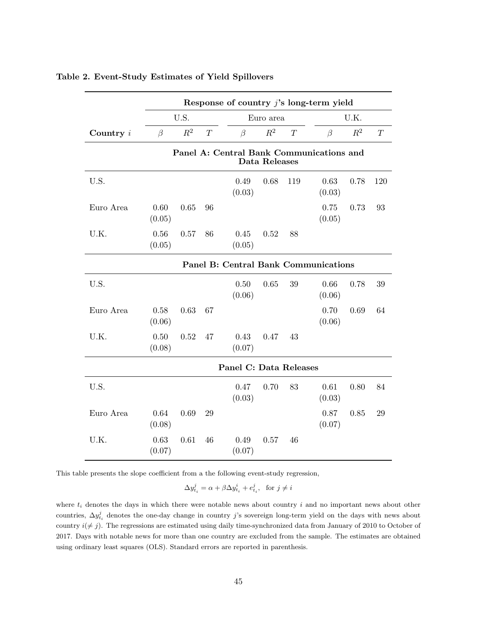|             | Response of country $j$ 's long-term yield |       |    |                        |               |     |                                             |       |     |
|-------------|--------------------------------------------|-------|----|------------------------|---------------|-----|---------------------------------------------|-------|-----|
|             |                                            | U.S.  |    |                        | Euro area     |     |                                             | U.K.  |     |
| Country $i$ | $\beta$                                    | $R^2$ | T  | $\beta$                | $R^2$         | T   | $\beta$                                     | $R^2$ | T   |
|             |                                            |       |    |                        | Data Releases |     | Panel A: Central Bank Communications and    |       |     |
| U.S.        |                                            |       |    | 0.49<br>(0.03)         | 0.68          | 119 | 0.63<br>(0.03)                              | 0.78  | 120 |
| Euro Area   | 0.60<br>(0.05)                             | 0.65  | 96 |                        |               |     | 0.75<br>(0.05)                              | 0.73  | 93  |
| U.K.        | 0.56<br>(0.05)                             | 0.57  | 86 | 0.45<br>(0.05)         | 0.52          | 88  |                                             |       |     |
|             |                                            |       |    |                        |               |     | <b>Panel B: Central Bank Communications</b> |       |     |
| U.S.        |                                            |       |    | 0.50<br>(0.06)         | 0.65          | 39  | 0.66<br>(0.06)                              | 0.78  | 39  |
| Euro Area   | 0.58<br>(0.06)                             | 0.63  | 67 |                        |               |     | 0.70<br>(0.06)                              | 0.69  | 64  |
| U.K.        | 0.50<br>(0.08)                             | 0.52  | 47 | 0.43<br>(0.07)         | 0.47          | 43  |                                             |       |     |
|             |                                            |       |    | Panel C: Data Releases |               |     |                                             |       |     |
| U.S.        |                                            |       |    | 0.47<br>(0.03)         | 0.70          | 83  | 0.61<br>(0.03)                              | 0.80  | 84  |
| Euro Area   | 0.64<br>(0.08)                             | 0.69  | 29 |                        |               |     | 0.87<br>(0.07)                              | 0.85  | 29  |
| U.K.        | 0.63<br>(0.07)                             | 0.61  | 46 | 0.49<br>(0.07)         | 0.57          | 46  |                                             |       |     |

# <span id="page-46-0"></span>Table 2. Event-Study Estimates of Yield Spillovers

This table presents the slope coefficient from a the following event-study regression,

 $\Delta y_{t_i}^j = \alpha + \beta \Delta y_{t_i}^i + e_{t_i}^j$ , for  $j \neq i$ 

where  $t_i$  denotes the days in which there were notable news about country  $i$  and no important news about other countries,  $\Delta y_{t_i}^j$  denotes the one-day change in country j's sovereign long-term yield on the days with news about country  $i(\neq j)$ . The regressions are estimated using daily time-synchronized data from January of 2010 to October of 2017. Days with notable news for more than one country are excluded from the sample. The estimates are obtained using ordinary least squares (OLS). Standard errors are reported in parenthesis.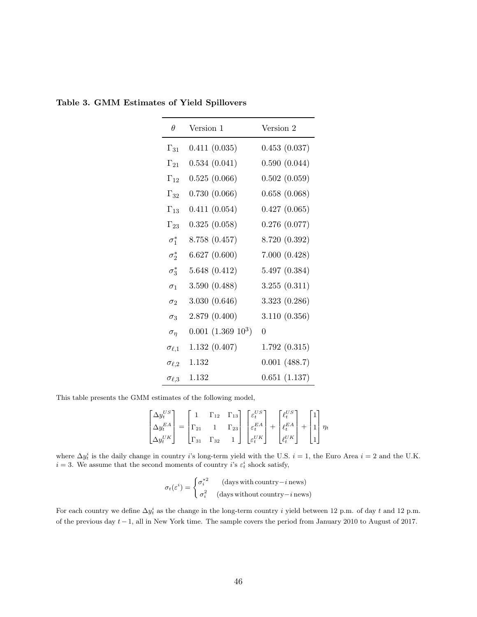| $\theta$          | Version 1            | Version 2     |
|-------------------|----------------------|---------------|
| $\Gamma_{31}$     | 0.411(0.035)         | 0.453(0.037)  |
| $\Gamma_{21}$     | 0.534(0.041)         | 0.590(0.044)  |
| $\Gamma_{12}$     | 0.525(0.066)         | 0.502(0.059)  |
| $\Gamma_{32}$     | 0.730(0.066)         | 0.658(0.068)  |
| $\Gamma_{13}$     | 0.411(0.054)         | 0.427(0.065)  |
| $\Gamma_{23}$     | 0.325(0.058)         | 0.276(0.077)  |
| $\sigma_1^*$      | 8.758 (0.457)        | 8.720 (0.392) |
| $\sigma_2^*$      | 6.627(0.600)         | 7.000(0.428)  |
| $\sigma_3^*$      | 5.648(0.412)         | 5.497 (0.384) |
| $\sigma_1$        | 3.590(0.488)         | 3.255(0.311)  |
| $\sigma_2$        | 3.030(0.646)         | 3.323(0.286)  |
| $\sigma_3$        | 2.879(0.400)         | 3.110(0.356)  |
| $\sigma_{\eta}$   | $0.001~(1.369~10^3)$ | $\Omega$      |
| $\sigma_{\ell,1}$ | 1.132(0.407)         | 1.792(0.315)  |
| $\sigma_{\ell,2}$ | 1.132                | 0.001(488.7)  |
| $\sigma_{\ell,3}$ | 1.132                | 0.651(1.137)  |

<span id="page-47-0"></span>Table 3. GMM Estimates of Yield Spillovers

This table presents the GMM estimates of the following model,

$$
\begin{bmatrix}\n\Delta y_t^{US} \\
\Delta y_t^{EA} \\
\Delta y_t^{UK}\n\end{bmatrix} = \begin{bmatrix}\n1 & \Gamma_{12} & \Gamma_{13} \\
\Gamma_{21} & 1 & \Gamma_{23} \\
\Gamma_{31} & \Gamma_{32} & 1\n\end{bmatrix} \begin{bmatrix}\n\varepsilon_t^{US} \\
\varepsilon_t^{EA} \\
\varepsilon_t^{UK}\n\end{bmatrix} + \begin{bmatrix}\n\ell_t^{US} \\
\ell_t^{EA} \\
\ell_t^{UK}\n\end{bmatrix} + \begin{bmatrix}\n1 \\
1 \\
1\n\end{bmatrix} \eta_t
$$

where  $\Delta y_t^i$  is the daily change in country i's long-term yield with the U.S.  $i = 1$ , the Euro Area  $i = 2$  and the U.K.  $i = 3$ . We assume that the second moments of country  $i$ 's  $\varepsilon_t^i$  shock satisfy,

$$
\sigma_t(\varepsilon^i) = \begin{cases} \sigma_i^{*2} & \text{(days with country} - i \text{ news)}\\ \sigma_i^2 & \text{(days without country} - i \text{ news)} \end{cases}
$$

For each country we define  $\Delta y_t^i$  as the change in the long-term country i yield between 12 p.m. of day t and 12 p.m. of the previous day t−1, all in New York time. The sample covers the period from January 2010 to August of 2017.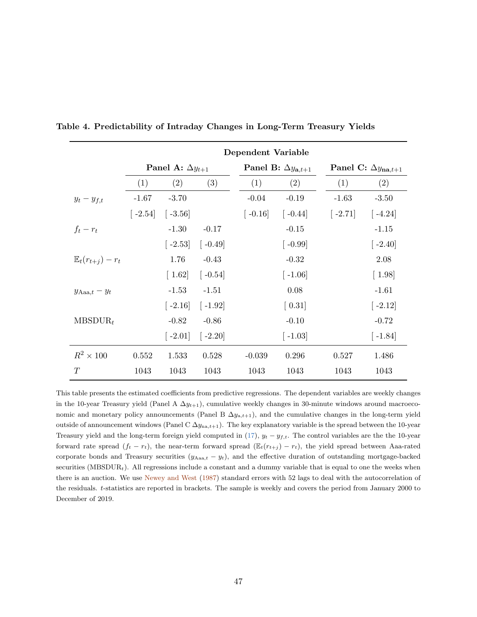|                                 | Dependent Variable |                           |                        |                        |                                      |           |                                     |  |
|---------------------------------|--------------------|---------------------------|------------------------|------------------------|--------------------------------------|-----------|-------------------------------------|--|
|                                 |                    | Panel A: $\Delta y_{t+1}$ |                        |                        | Panel B: $\Delta y_{\mathbf{a},t+1}$ |           | Panel C: $\Delta y_{\text{na},t+1}$ |  |
|                                 | (1)                | (2)                       | (3)                    | (1)                    | (2)                                  | (1)       | (2)                                 |  |
| $y_t - y_{f,t}$                 | $-1.67$            | $-3.70$                   |                        | $-0.04$                | $-0.19$                              | $-1.63$   | $-3.50$                             |  |
|                                 |                    | $[-2.54]$ $[-3.56]$       |                        | $\left[ -0.16 \right]$ | $\left[ -0.44 \right]$               | $[-2.71]$ | $\lceil -4.24 \rceil$               |  |
| $f_t-r_t$                       |                    | $-1.30$                   | $-0.17$                |                        | $-0.15$                              |           | $-1.15$                             |  |
|                                 |                    | $\left[-2.53\right]$      | $\left[ -0.49 \right]$ |                        | $\left[ -0.99 \right]$               |           | $[-2.40]$                           |  |
| $\mathbb{E}_{t}(r_{t+1})-r_{t}$ |                    | 1.76                      | $-0.43$                |                        | $-0.32$                              |           | 2.08                                |  |
|                                 |                    | $\lceil 1.62 \rceil$      | $\left[ -0.54\right]$  |                        | $\lceil -1.06 \rceil$                |           | $\left[ 1.98\right]$                |  |
| $y_{\text{Aaa},t} - y_t$        |                    | $-1.53$                   | $-1.51$                |                        | 0.08                                 |           | $-1.61$                             |  |
|                                 |                    | $\left[ -2.16\right]$     | $\lceil -1.92 \rceil$  |                        | $\left[0.31\right]$                  |           | $\left[-2.12\right]$                |  |
| $MBSDUR_t$                      |                    | $-0.82$                   | $-0.86$                |                        | $-0.10$                              |           | $-0.72$                             |  |
|                                 |                    |                           | $[-2.01]$ $[-2.20]$    |                        | $\lceil -1.03 \rceil$                |           | $[-1.84]$                           |  |
| $R^2 \times 100$                | 0.552              | 1.533                     | 0.528                  | $-0.039$               | 0.296                                | 0.527     | 1.486                               |  |
| T                               | 1043               | 1043                      | 1043                   | 1043                   | 1043                                 | 1043      | 1043                                |  |

<span id="page-48-0"></span>Table 4. Predictability of Intraday Changes in Long-Term Treasury Yields

This table presents the estimated coefficients from predictive regressions. The dependent variables are weekly changes in the 10-year Treasury yield (Panel A  $\Delta y_{t+1}$ ), cumulative weekly changes in 30-minute windows around macroeconomic and monetary policy announcements (Panel B  $\Delta y_{a,t+1}$ ), and the cumulative changes in the long-term yield outside of announcement windows (Panel C  $\Delta y_{na,t+1}$ ). The key explanatory variable is the spread between the 10-year Treasury yield and the long-term foreign yield computed in [\(17\)](#page-19-1),  $y_t - y_{f,t}$ . The control variables are the the 10-year forward rate spread  $(f_t - r_t)$ , the near-term forward spread  $(\mathbb{E}_t(r_{t+j}) - r_t)$ , the yield spread between Aaa-rated corporate bonds and Treasury securities  $(y_{Aaa,t} - y_t)$ , and the effective duration of outstanding mortgage-backed securities (MBSDUR<sub>t</sub>). All regressions include a constant and a dummy variable that is equal to one the weeks when there is an auction. We use [Newey and West](#page-39-6) [\(1987\)](#page-39-6) standard errors with 52 lags to deal with the autocorrelation of the residuals. t-statistics are reported in brackets. The sample is weekly and covers the period from January 2000 to December of 2019.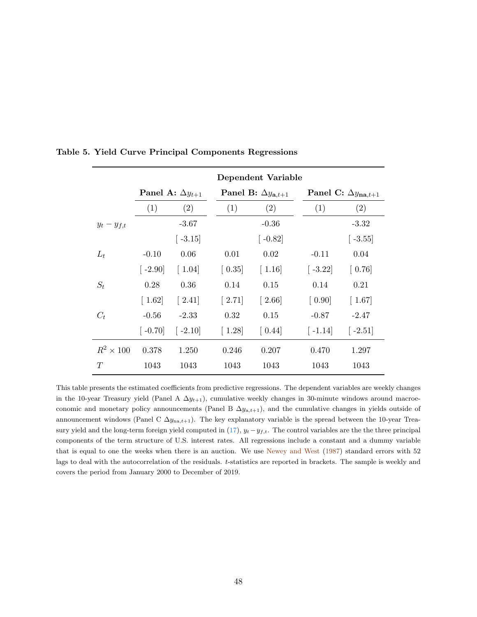|                  |                       |                                                    |                                      | Dependent Variable                   |                        |                                     |  |  |
|------------------|-----------------------|----------------------------------------------------|--------------------------------------|--------------------------------------|------------------------|-------------------------------------|--|--|
|                  |                       | Panel A: $\Delta y_{t+1}$                          |                                      | Panel B: $\Delta y_{\mathbf{a},t+1}$ |                        | Panel C: $\Delta y_{\text{na},t+1}$ |  |  |
|                  | (1)                   | (2)                                                | (1)                                  | (2)                                  | (1)                    | (2)                                 |  |  |
| $y_t - y_{f,t}$  |                       | $-3.67$                                            |                                      | $-0.36$                              |                        | $-3.32$                             |  |  |
|                  |                       | $\left[ -3.15 \right]$                             |                                      | $\left[ -0.82 \right]$               |                        | $\lceil$ -3.55 $\rceil$             |  |  |
| $L_t$            | $-0.10$               | 0.06                                               | 0.01                                 | 0.02                                 | $-0.11$                | 0.04                                |  |  |
|                  | $\lceil -2.90 \rceil$ | $\left[ \begin{array}{c} 1.04 \end{array} \right]$ | $\left[0.35\right]$                  | $\left[ \right.1.16\right]$          | $\left[ -3.22 \right]$ | $\left[0.76\right]$                 |  |  |
| $S_t$            | 0.28                  | 0.36                                               | 0.14                                 | 0.15                                 | 0.14                   | 0.21                                |  |  |
|                  | $\lceil 1.62 \rceil$  | $\left[2.41\right]$                                | $\begin{bmatrix} 2.71 \end{bmatrix}$ | $\lceil 2.66 \rceil$                 | $\left[0.90\right]$    | $\lceil 1.67 \rceil$                |  |  |
| $C_t$            | $-0.56$               | $-2.33$                                            | 0.32                                 | 0.15                                 | $-0.87$                | $-2.47$                             |  |  |
|                  | $\lceil -0.70 \rceil$ | $\left[-2.10\right]$                               | $\lceil 1.28 \rceil$                 | $\left[0.44\right]$                  | $\left[ -1.14 \right]$ | $\left[ -2.51\right]$               |  |  |
| $R^2 \times 100$ | 0.378                 | 1.250                                              | 0.246                                | 0.207                                | 0.470                  | 1.297                               |  |  |
| T                | 1043                  | 1043                                               | 1043                                 | 1043                                 | 1043                   | 1043                                |  |  |

<span id="page-49-0"></span>Table 5. Yield Curve Principal Components Regressions

This table presents the estimated coefficients from predictive regressions. The dependent variables are weekly changes in the 10-year Treasury yield (Panel A  $\Delta y_{t+1}$ ), cumulative weekly changes in 30-minute windows around macroeconomic and monetary policy announcements (Panel B  $\Delta y_{a,t+1}$ ), and the cumulative changes in yields outside of announcement windows (Panel C  $\Delta y_{na,t+1}$ ). The key explanatory variable is the spread between the 10-year Treasury yield and the long-term foreign yield computed in  $(17)$ ,  $y_t-y_{f,t}$ . The control variables are the three principal components of the term structure of U.S. interest rates. All regressions include a constant and a dummy variable that is equal to one the weeks when there is an auction. We use [Newey and West](#page-39-6) [\(1987\)](#page-39-6) standard errors with 52 lags to deal with the autocorrelation of the residuals. t-statistics are reported in brackets. The sample is weekly and covers the period from January 2000 to December of 2019.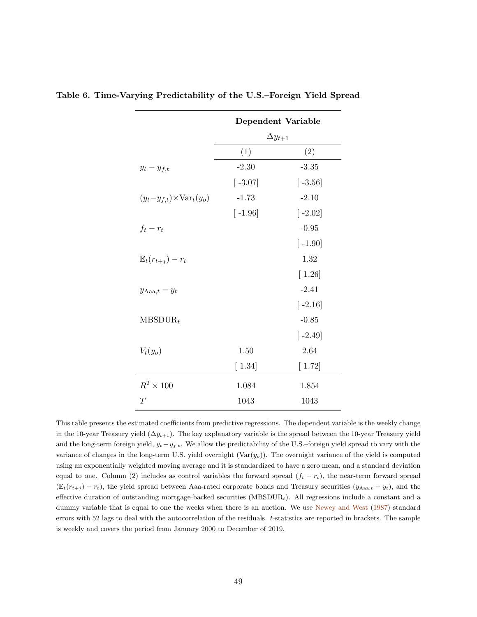|                                         |                       | <b>Dependent Variable</b> |
|-----------------------------------------|-----------------------|---------------------------|
|                                         |                       | $\Delta y_{t+1}$          |
|                                         | (1)                   | (2)                       |
| $y_t - y_{f,t}$                         | $-2.30$               | $-3.35$                   |
|                                         | $\left[ -3.07\right]$ | $\left[ -3.56 \right]$    |
| $(y_t-y_{f,t})\times \text{Var}_t(y_o)$ | $-1.73$               | $-2.10$                   |
|                                         | $\lceil -1.96 \rceil$ | $\lceil -2.02 \rceil$     |
| $f_t-r_t$                               |                       | $-0.95$                   |
|                                         |                       | $\lceil -1.90 \rceil$     |
| $\mathbb{E}_t(r_{t+1})-r_t$             |                       | 1.32                      |
|                                         |                       | $\lceil 1.26 \rceil$      |
| $y_{\text{Aaa},t} - y_t$                |                       | $-2.41$                   |
|                                         |                       | $\lceil -2.16 \rceil$     |
| $MBSDUR_t$                              |                       | $-0.85$                   |
|                                         |                       | $\lceil -2.49 \rceil$     |
| $V_t(y_o)$                              | 1.50                  | 2.64                      |
|                                         | $[1.34]$              | $[1.72]$                  |
| $R^2 \times 100$                        | 1.084                 | 1.854                     |
| T                                       | 1043                  | 1043                      |

<span id="page-50-0"></span>Table 6. Time-Varying Predictability of the U.S.–Foreign Yield Spread

This table presents the estimated coefficients from predictive regressions. The dependent variable is the weekly change in the 10-year Treasury yield  $(\Delta y_{t+1})$ . The key explanatory variable is the spread between the 10-year Treasury yield and the long-term foreign yield,  $y_t - y_{f,t}$ . We allow the predictability of the U.S.–foreign yield spread to vary with the variance of changes in the long-term U.S. yield overnight  $(Var(y<sub>o</sub>))$ . The overnight variance of the yield is computed using an exponentially weighted moving average and it is standardized to have a zero mean, and a standard deviation equal to one. Column (2) includes as control variables the forward spread  $(f_t - r_t)$ , the near-term forward spread  $(\mathbb{E}_t(r_{t+j}) - r_t)$ , the yield spread between Aaa-rated corporate bonds and Treasury securities  $(y_{\text{Aaa},t} - y_t)$ , and the effective duration of outstanding mortgage-backed securities  $(MBSDUR<sub>t</sub>)$ . All regressions include a constant and a dummy variable that is equal to one the weeks when there is an auction. We use [Newey and West](#page-39-6) [\(1987\)](#page-39-6) standard errors with 52 lags to deal with the autocorrelation of the residuals. t-statistics are reported in brackets. The sample is weekly and covers the period from January 2000 to December of 2019.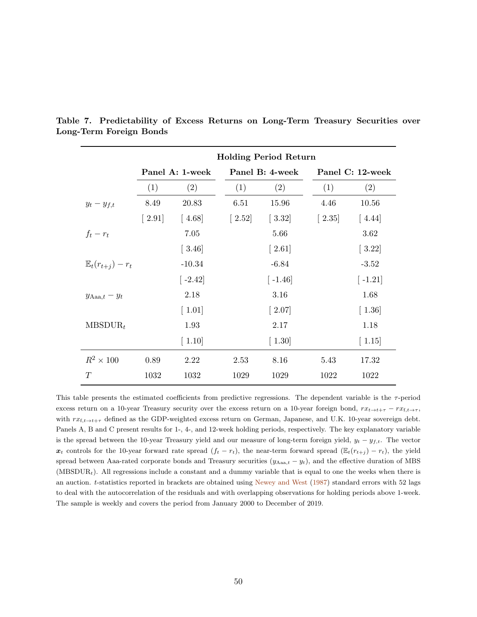|                             |                                      |                              |                                      | <b>Holding Period Return</b> |                     |                              |  |  |
|-----------------------------|--------------------------------------|------------------------------|--------------------------------------|------------------------------|---------------------|------------------------------|--|--|
|                             |                                      | Panel A: 1-week              |                                      | Panel B: 4-week              |                     | Panel C: 12-week             |  |  |
|                             | (1)                                  | (2)                          | (1)                                  | (2)                          | (1)                 | (2)                          |  |  |
| $y_t - y_{f,t}$             | 8.49                                 | 20.83                        | 6.51                                 | 15.96                        | 4.46                | 10.56                        |  |  |
|                             | $\begin{bmatrix} 2.91 \end{bmatrix}$ | $\left[4.68\right]$          | $\begin{bmatrix} 2.52 \end{bmatrix}$ | $[3.32]$                     | $\left[2.35\right]$ | $\left[4.44\right]$          |  |  |
| $f_t-r_t$                   |                                      | 7.05                         |                                      | 5.66                         |                     | 3.62                         |  |  |
|                             |                                      | $\left[ \right. 3.46\right]$ |                                      | $\left[2.61\right]$          |                     | $\left[ 3.22\right]$         |  |  |
| $\mathbb{E}_t(r_{t+1})-r_t$ |                                      | $-10.34$                     |                                      | $-6.84$                      |                     | $-3.52$                      |  |  |
|                             |                                      | $[-2.42]$                    |                                      | $[-1.46]$                    |                     | $\lceil -1.21 \rceil$        |  |  |
| $y_{\text{Aaa},t} - y_t$    |                                      | 2.18                         |                                      | 3.16                         |                     | 1.68                         |  |  |
|                             |                                      | $\left[ 1.01 \right]$        |                                      | $[2.07]$                     |                     | $\left[ \right. 1.36\right]$ |  |  |
| $MBSDUR_t$                  |                                      | 1.93                         |                                      | 2.17                         |                     | 1.18                         |  |  |
|                             |                                      | $\left[ 1.10 \right]$        |                                      | $\left[ 1.30 \right]$        |                     | $\left[ 1.15\right]$         |  |  |
| $R^2 \times 100$            | 0.89                                 | 2.22                         | 2.53                                 | 8.16                         | 5.43                | 17.32                        |  |  |
| T                           | 1032                                 | 1032                         | 1029                                 | 1029                         | 1022                | 1022                         |  |  |

<span id="page-51-0"></span>Table 7. Predictability of Excess Returns on Long-Term Treasury Securities over Long-Term Foreign Bonds

This table presents the estimated coefficients from predictive regressions. The dependent variable is the  $\tau$ -period excess return on a 10-year Treasury security over the excess return on a 10-year foreign bond,  $rx_{t\to t+\tau} - rx_{t\to\tau}$ , with  $rx_{f,t\to t+\tau}$  defined as the GDP-weighted excess return on German, Japanese, and U.K. 10-year sovereign debt. Panels A, B and C present results for 1-, 4-, and 12-week holding periods, respectively. The key explanatory variable is the spread between the 10-year Treasury yield and our measure of long-term foreign yield,  $y_t - y_{f,t}$ . The vector  $x_t$  controls for the 10-year forward rate spread  $(f_t - r_t)$ , the near-term forward spread  $(\mathbb{E}_t(r_{t+j}) - r_t)$ , the yield spread between Aaa-rated corporate bonds and Treasury securities  $(y_{Aaa,t} - y_t)$ , and the effective duration of MBS (MBSDUR<sub>t</sub>). All regressions include a constant and a dummy variable that is equal to one the weeks when there is an auction. t-statistics reported in brackets are obtained using [Newey and West](#page-39-6) [\(1987\)](#page-39-6) standard errors with 52 lags to deal with the autocorrelation of the residuals and with overlapping observations for holding periods above 1-week. The sample is weekly and covers the period from January 2000 to December of 2019.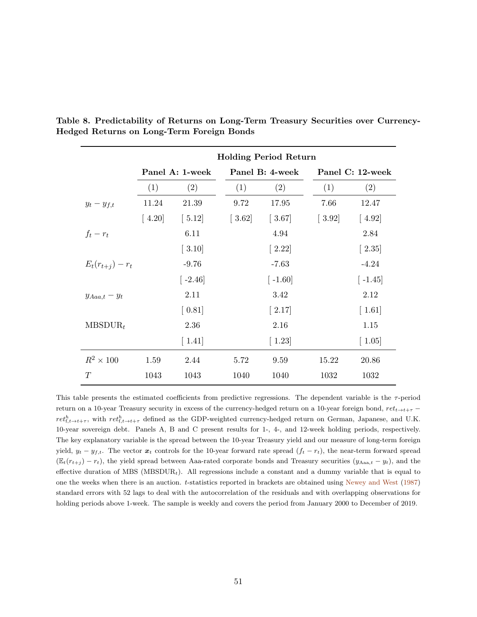|                      |                     |                        |                                                    | <b>Holding Period Return</b>         |                                                    |                                                    |  |  |
|----------------------|---------------------|------------------------|----------------------------------------------------|--------------------------------------|----------------------------------------------------|----------------------------------------------------|--|--|
|                      |                     | Panel A: 1-week        |                                                    | Panel B: 4-week                      |                                                    | Panel C: 12-week                                   |  |  |
|                      | (1)                 | (2)                    | (1)                                                | (2)                                  | (1)                                                | (2)                                                |  |  |
| $y_t - y_{f,t}$      | 11.24               | 21.39                  | 9.72                                               | 17.95                                | 7.66                                               | 12.47                                              |  |  |
|                      | $\left[4.20\right]$ | $\left[ 5.12\right]$   | $\left[ \begin{array}{c} 3.62 \end{array} \right]$ | $[3.67]$                             | $\left[ \begin{array}{c} 3.92 \end{array} \right]$ | $\left[4.92\right]$                                |  |  |
| $f_t-r_t$            |                     | 6.11                   |                                                    | 4.94                                 |                                                    | 2.84                                               |  |  |
|                      |                     | $[3.10]$               |                                                    | $\begin{bmatrix} 2.22 \end{bmatrix}$ |                                                    | $\left[2.35\right]$                                |  |  |
| $E_t(r_{t+1}) - r_t$ |                     | $-9.76$                |                                                    | $-7.63$                              |                                                    | $-4.24$                                            |  |  |
|                      |                     | $\left[ -2.46 \right]$ |                                                    | $\left[ -1.60 \right]$               |                                                    | $\left[ -1.45 \right]$                             |  |  |
| $y_{Aaa,t} - y_t$    |                     | 2.11                   |                                                    | 3.42                                 |                                                    | 2.12                                               |  |  |
|                      |                     | $\left[0.81\right]$    |                                                    | $\left[2.17\right]$                  |                                                    | $\left[ \begin{array}{c} 1.61 \end{array} \right]$ |  |  |
| $MBSDUR_t$           |                     | 2.36                   |                                                    | 2.16                                 |                                                    | 1.15                                               |  |  |
|                      |                     | $\left[ 1.41\right]$   |                                                    | $\left[ 1.23\right]$                 |                                                    | $\left[ 1.05\right]$                               |  |  |
| $R^2 \times 100$     | 1.59                | 2.44                   | 5.72                                               | 9.59                                 | 15.22                                              | 20.86                                              |  |  |
| T                    | 1043                | 1043                   | 1040                                               | 1040                                 | 1032                                               | 1032                                               |  |  |

<span id="page-52-0"></span>Table 8. Predictability of Returns on Long-Term Treasury Securities over Currency-Hedged Returns on Long-Term Foreign Bonds

This table presents the estimated coefficients from predictive regressions. The dependent variable is the  $\tau$ -period return on a 10-year Treasury security in excess of the currency-hedged return on a 10-year foreign bond,  $ret_{t\to t+\tau}$  –  $ret_{f,t\to t+\tau}^h$ , with  $ret_{f,t\to t+\tau}^h$  defined as the GDP-weighted currency-hedged return on German, Japanese, and U.K. 10-year sovereign debt. Panels A, B and C present results for 1-, 4-, and 12-week holding periods, respectively. The key explanatory variable is the spread between the 10-year Treasury yield and our measure of long-term foreign yield,  $y_t - y_{f,t}$ . The vector  $x_t$  controls for the 10-year forward rate spread  $(f_t - r_t)$ , the near-term forward spread  $(\mathbb{E}_t(r_{t+j}) - r_t)$ , the yield spread between Aaa-rated corporate bonds and Treasury securities  $(y_{\text{Aaa},t} - y_t)$ , and the effective duration of MBS ( $MBSDUR<sub>t</sub>$ ). All regressions include a constant and a dummy variable that is equal to one the weeks when there is an auction. t-statistics reported in brackets are obtained using [Newey and West](#page-39-6) [\(1987\)](#page-39-6) standard errors with 52 lags to deal with the autocorrelation of the residuals and with overlapping observations for holding periods above 1-week. The sample is weekly and covers the period from January 2000 to December of 2019.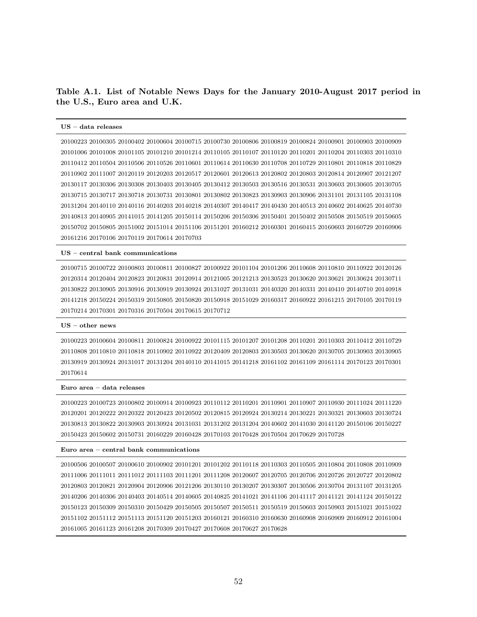Table A.1. List of Notable News Days for the January 2010-August 2017 period in the U.S., Euro area and U.K.

#### US – data releases

20100223 20100305 20100402 20100604 20100715 20100730 20100806 20100819 20100824 20100901 20100903 20100909 20101006 20101008 20101105 20101210 20101214 20110105 20110107 20110120 20110201 20110204 20110303 20110310 20110412 20110504 20110506 20110526 20110601 20110614 20110630 20110708 20110729 20110801 20110818 20110829 20110902 20111007 20120119 20120203 20120517 20120601 20120613 20120802 20120803 20120814 20120907 20121207 20130117 20130306 20130308 20130403 20130405 20130412 20130503 20130516 20130531 20130603 20130605 20130705 20130715 20130717 20130718 20130731 20130801 20130802 20130823 20130903 20130906 20131101 20131105 20131108 20131204 20140110 20140116 20140203 20140218 20140307 20140417 20140430 20140513 20140602 20140625 20140730 20140813 20140905 20141015 20141205 20150114 20150206 20150306 20150401 20150402 20150508 20150519 20150605 20150702 20150805 20151002 20151014 20151106 20151201 20160212 20160301 20160415 20160603 20160729 20160906 20161216 20170106 20170119 20170614 20170703

#### US – central bank communications

20100715 20100722 20100803 20100811 20100827 20100922 20101104 20101206 20110608 20110810 20110922 20120126 20120314 20120404 20120823 20120831 20120914 20121005 20121213 20130523 20130620 20130621 20130624 20130711 20130822 20130905 20130916 20130919 20130924 20131027 20131031 20140320 20140331 20140410 20140710 20140918 20141218 20150224 20150319 20150805 20150820 20150918 20151029 20160317 20160922 20161215 20170105 20170119 20170214 20170301 20170316 20170504 20170615 20170712

#### $US - other news$

20100223 20100604 20100811 20100824 20100922 20101115 20101207 20101208 20110201 20110303 20110412 20110729 20110808 20110810 20110818 20110902 20110922 20120409 20120803 20130503 20130620 20130705 20130903 20130905 20130919 20130924 20131017 20131204 20140110 20141015 20141218 20161102 20161109 20161114 20170123 20170301 20170614

#### Euro area – data releases

20100223 20100723 20100802 20100914 20100923 20110112 20110201 20110901 20110907 20110930 20111024 20111220 20120201 20120222 20120322 20120423 20120502 20120815 20120924 20130214 20130221 20130321 20130603 20130724 20130813 20130822 20130903 20130924 20131031 20131202 20131204 20140602 20141030 20141120 20150106 20150227 20150423 20150602 20150731 20160229 20160428 20170103 20170428 20170504 20170629 20170728

#### Euro area – central bank communications

20100506 20100507 20100610 20100902 20101201 20101202 20110118 20110303 20110505 20110804 20110808 20110909 20111006 20111011 20111012 20111103 20111201 20111208 20120607 20120705 20120706 20120726 20120727 20120802 20120803 20120821 20120904 20120906 20121206 20130110 20130207 20130307 20130506 20130704 20131107 20131205 20140206 20140306 20140403 20140514 20140605 20140825 20141021 20141106 20141117 20141121 20141124 20150122 20150123 20150309 20150310 20150429 20150505 20150507 20150511 20150519 20150603 20150903 20151021 20151022 20151102 20151112 20151113 20151120 20151203 20160121 20160310 20160630 20160908 20160909 20160912 20161004 20161005 20161123 20161208 20170309 20170427 20170608 20170627 20170628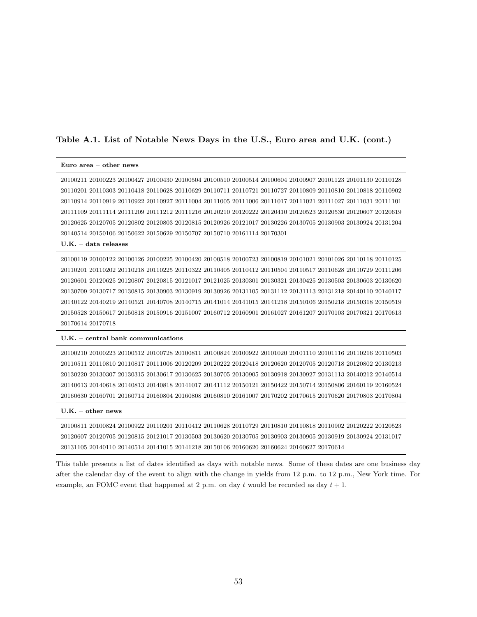### Table A.1. List of Notable News Days in the U.S., Euro area and U.K. (cont.)

#### Euro area – other news

20100211 20100223 20100427 20100430 20100504 20100510 20100514 20100604 20100907 20101123 20101130 20110128 20110201 20110303 20110418 20110628 20110629 20110711 20110721 20110727 20110809 20110810 20110818 20110902 20110914 20110919 20110922 20110927 20111004 20111005 20111006 20111017 20111021 20111027 20111031 20111101 20111109 20111114 20111209 20111212 20111216 20120210 20120222 20120410 20120523 20120530 20120607 20120619 20120625 20120705 20120802 20120803 20120815 20120926 20121017 20130226 20130705 20130903 20130924 20131204 20140514 20150106 20150622 20150629 20150707 20150710 20161114 20170301

#### U.K. – data releases

20100119 20100122 20100126 20100225 20100420 20100518 20100723 20100819 20101021 20101026 20110118 20110125 20110201 20110202 20110218 20110225 20110322 20110405 20110412 20110504 20110517 20110628 20110729 20111206 20120601 20120625 20120807 20120815 20121017 20121025 20130301 20130321 20130425 20130503 20130603 20130620 20130709 20130717 20130815 20130903 20130919 20130926 20131105 20131112 20131113 20131218 20140110 20140117 20140122 20140219 20140521 20140708 20140715 20141014 20141015 20141218 20150106 20150218 20150318 20150519 20150528 20150617 20150818 20150916 20151007 20160712 20160901 20161027 20161207 20170103 20170321 20170613 20170614 20170718

#### U.K. – central bank communications

20100210 20100223 20100512 20100728 20100811 20100824 20100922 20101020 20101110 20101116 20110216 20110503 20110511 20110810 20110817 20111006 20120209 20120222 20120418 20120620 20120705 20120718 20120802 20130213 20130220 20130307 20130315 20130617 20130625 20130705 20130905 20130918 20130927 20131113 20140212 20140514 20140613 20140618 20140813 20140818 20141017 20141112 20150121 20150422 20150714 20150806 20160119 20160524 20160630 20160701 20160714 20160804 20160808 20160810 20161007 20170202 20170615 20170620 20170803 20170804

#### U.K. – other news

20100811 20100824 20100922 20110201 20110412 20110628 20110729 20110810 20110818 20110902 20120222 20120523 20120607 20120705 20120815 20121017 20130503 20130620 20130705 20130903 20130905 20130919 20130924 20131017 20131105 20140110 20140514 20141015 20141218 20150106 20160620 20160624 20160627 20170614

This table presents a list of dates identified as days with notable news. Some of these dates are one business day after the calendar day of the event to align with the change in yields from 12 p.m. to 12 p.m., New York time. For example, an FOMC event that happened at 2 p.m. on day t would be recorded as day  $t + 1$ .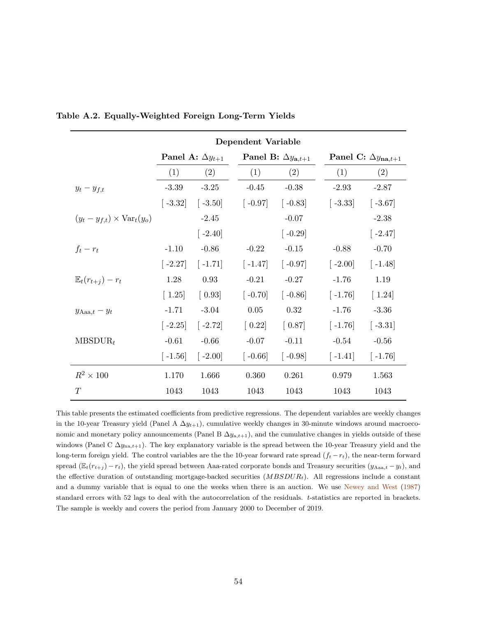|                                            | Dependent Variable                   |                           |                        |                                      |                                     |                        |  |
|--------------------------------------------|--------------------------------------|---------------------------|------------------------|--------------------------------------|-------------------------------------|------------------------|--|
|                                            |                                      | Panel A: $\Delta y_{t+1}$ |                        | Panel B: $\Delta y_{\mathbf{a},t+1}$ | Panel C: $\Delta y_{\text{na},t+1}$ |                        |  |
|                                            | (1)                                  | (2)                       | (1)                    | (2)                                  | (1)                                 | (2)                    |  |
| $y_t - y_{f,t}$                            | $-3.39$                              | $-3.25$                   | $-0.45$                | $-0.38$                              | $-2.93$                             | $-2.87$                |  |
|                                            | $\left[ -3.32 \right]$               | $\left[ -3.50 \right]$    | $\lceil -0.97 \rceil$  | $\left[ -0.83 \right]$               | $\left[ -3.33\right]$               | $\left[ -3.67\right]$  |  |
| $(y_t - y_{f,t}) \times \text{Var}_t(y_o)$ |                                      | $-2.45$                   |                        | $-0.07$                              |                                     | $-2.38$                |  |
|                                            |                                      | $[-2.40]$                 |                        | $\left[-0.29\right]$                 |                                     | $\left[ -2.47\right]$  |  |
| $f_t-r_t$                                  | $-1.10$                              | $-0.86$                   | $-0.22$                | $-0.15$                              | $-0.88$                             | $-0.70$                |  |
|                                            | $[-2.27]$                            | $[-1.71]$                 | $\lceil -1.47 \rceil$  | $\left[ -0.97 \right]$               | $\lceil -2.00 \rceil$               | $\lceil -1.48 \rceil$  |  |
| $\mathbb{E}_t(r_{t+1})-r_t$                | 1.28                                 | 0.93                      | $-0.21$                | $-0.27$                              | $-1.76$                             | 1.19                   |  |
|                                            | $\begin{bmatrix} 1.25 \end{bmatrix}$ | $\left[0.93\right]$       | $[-0.70]$              | $\left[-0.86\right]$                 | $[-1.76]$                           | $\lceil 1.24 \rceil$   |  |
| $y_{\text{Aaa},t} - y_t$                   | $-1.71$                              | $-3.04$                   | $0.05\,$               | 0.32                                 | $-1.76$                             | $-3.36$                |  |
|                                            | $[-2.25]$                            | $[-2.72]$                 | $\left[0.22\right]$    | $\left[0.87\right]$                  | $\left[ -1.76\right]$               | $\left[ -3.31 \right]$ |  |
| $MBSDUR_t$                                 | $-0.61$                              | $-0.66$                   | $-0.07$                | $-0.11$                              | $-0.54$                             | $-0.56$                |  |
|                                            | $\left[ -1.56 \right]$               | $[-2.00]$                 | $\left[ -0.66 \right]$ | $\left[ -0.98 \right]$               | $\left[ -1.41 \right]$              | $\lceil -1.76 \rceil$  |  |
| $R^2 \times 100$                           | 1.170                                | 1.666                     | 0.360                  | 0.261                                | 0.979                               | 1.563                  |  |
| T                                          | 1043                                 | 1043                      | 1043                   | 1043                                 | 1043                                | 1043                   |  |

Table A.2. Equally-Weighted Foreign Long-Term Yields

This table presents the estimated coefficients from predictive regressions. The dependent variables are weekly changes in the 10-year Treasury yield (Panel A  $\Delta y_{t+1}$ ), cumulative weekly changes in 30-minute windows around macroeconomic and monetary policy announcements (Panel B  $\Delta y_{a,t+1}$ ), and the cumulative changes in yields outside of these windows (Panel C  $\Delta y_{\text{na},t+1}$ ). The key explanatory variable is the spread between the 10-year Treasury yield and the long-term foreign yield. The control variables are the the 10-year forward rate spread  $(f_t - r_t)$ , the near-term forward spread ( $\mathbb{E}_t(r_{t+j}) - r_t$ ), the yield spread between Aaa-rated corporate bonds and Treasury securities ( $y_{Aaa,t} - y_t$ ), and the effective duration of outstanding mortgage-backed securities  $(MBSDUR<sub>t</sub>)$ . All regressions include a constant and a dummy variable that is equal to one the weeks when there is an auction. We use [Newey and West](#page-39-6) [\(1987\)](#page-39-6) standard errors with 52 lags to deal with the autocorrelation of the residuals. t-statistics are reported in brackets. The sample is weekly and covers the period from January 2000 to December of 2019.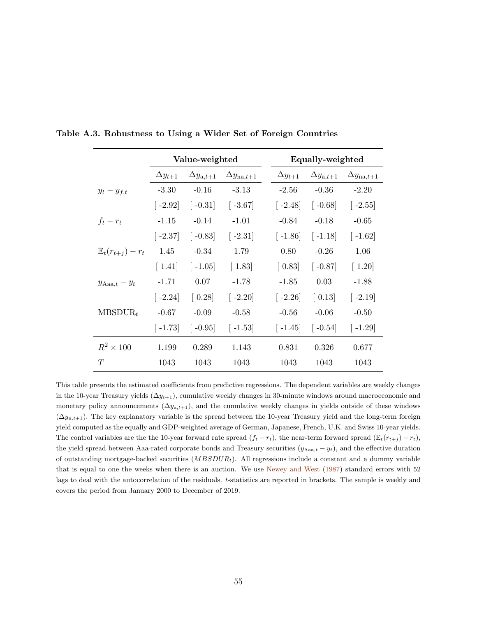|                                 |                       | Value-weighted              |                                                                             |                       | Equally-weighted            |                            |
|---------------------------------|-----------------------|-----------------------------|-----------------------------------------------------------------------------|-----------------------|-----------------------------|----------------------------|
|                                 | $\Delta y_{t+1}$      | $\Delta y_{\mathrm{a},t+1}$ | $\Delta y_{\text{na},t+1}$                                                  | $\Delta y_{t+1}$      | $\Delta y_{\mathrm{a},t+1}$ | $\Delta y_{\text{na},t+1}$ |
| $y_t - y_{f,t}$                 | $-3.30$               | $-0.16$                     | $-3.13$                                                                     | $-2.56$               | $-0.36$                     | $-2.20$                    |
|                                 | $\left[ -2.92\right]$ |                             | $\begin{bmatrix} -0.31 \end{bmatrix}$ $\begin{bmatrix} -3.67 \end{bmatrix}$ | $\left[ -2.48\right]$ | $\left[ -0.68 \right]$      | $\left[-2.55\right]$       |
| $f_t-r_t$                       | $-1.15$               | $-0.14$                     | $-1.01$                                                                     | $-0.84$               | $-0.18$                     | $-0.65$                    |
|                                 | $ -2.37 $             | $\left[-0.83\right]$        | $\left[ -2.31 \right]$                                                      | $\lceil -1.86 \rceil$ | $\lceil -1.18 \rceil$       | $\left[ -1.62 \right]$     |
| $\mathbb{E}_{t}(r_{t+i})-r_{t}$ | 1.45                  | $-0.34$                     | 1.79                                                                        | 0.80                  | $-0.26$                     | 1.06                       |
|                                 | $\lceil 1.41 \rceil$  | $\left[-1.05\right]$        | $\lceil 1.83 \rceil$                                                        | $\left[0.83\right]$   | $[-0.87]$                   | $\lceil 1.20 \rceil$       |
| $y_{\text{Aaa},t} - y_t$        | $-1.71$               | 0.07                        | $-1.78$                                                                     | $-1.85$               | 0.03                        | $-1.88$                    |
|                                 | $[-2.24]$             | $\left[0.28\right]$         | $[-2.20]$                                                                   | $\lceil -2.26 \rceil$ | $\left[0.13\right]$         | $\left[ -2.19 \right]$     |
| $MBSDUR_t$                      | $-0.67$               | $-0.09$                     | $-0.58$                                                                     | $-0.56$               | $-0.06$                     | $-0.50$                    |
|                                 | $\lceil -1.73 \rceil$ | $\left[-0.95\right]$        | $[-1.53]$                                                                   | $\lceil -1.45 \rceil$ | $\left[ -0.54 \right]$      | $[-1.29]$                  |
| $R^2 \times 100$                | 1.199                 | 0.289                       | 1.143                                                                       | 0.831                 | 0.326                       | 0.677                      |
| T                               | 1043                  | 1043                        | 1043                                                                        | 1043                  | 1043                        | 1043                       |

Table A.3. Robustness to Using a Wider Set of Foreign Countries

This table presents the estimated coefficients from predictive regressions. The dependent variables are weekly changes in the 10-year Treasury yields  $(\Delta y_{t+1})$ , cumulative weekly changes in 30-minute windows around macroeconomic and monetary policy announcements  $(\Delta y_{a,t+1})$ , and the cumulative weekly changes in yields outside of these windows  $(\Delta y_{n,t+1})$ . The key explanatory variable is the spread between the 10-year Treasury yield and the long-term foreign yield computed as the equally and GDP-weighted average of German, Japanese, French, U.K. and Swiss 10-year yields. The control variables are the the 10-year forward rate spread  $(f_t - r_t)$ , the near-term forward spread  $(\mathbb{E}_t(r_{t+j}) - r_t)$ , the yield spread between Aaa-rated corporate bonds and Treasury securities  $(y_{Aaa,t} - y_t)$ , and the effective duration of outstanding mortgage-backed securities  $(MBSDUR<sub>t</sub>)$ . All regressions include a constant and a dummy variable that is equal to one the weeks when there is an auction. We use [Newey and West](#page-39-6) [\(1987\)](#page-39-6) standard errors with 52 lags to deal with the autocorrelation of the residuals. t-statistics are reported in brackets. The sample is weekly and covers the period from January 2000 to December of 2019.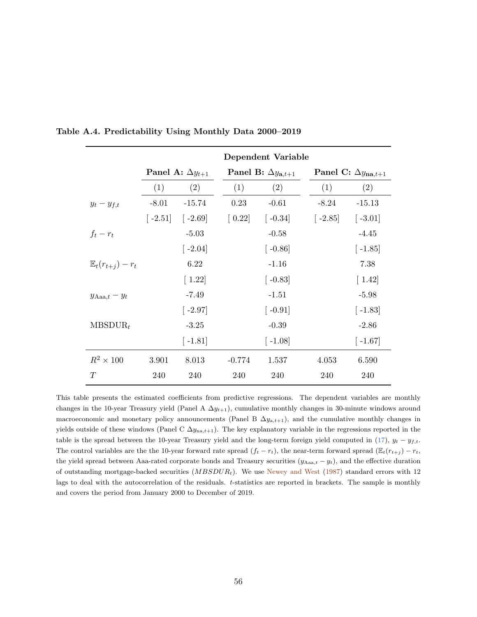|                             |         |                           |                     | Dependent Variable                   |                       |                                     |  |  |
|-----------------------------|---------|---------------------------|---------------------|--------------------------------------|-----------------------|-------------------------------------|--|--|
|                             |         | Panel A: $\Delta y_{t+1}$ |                     | Panel B: $\Delta y_{\mathbf{a},t+1}$ |                       | Panel C: $\Delta y_{\text{na},t+1}$ |  |  |
|                             | (1)     | (2)                       | (1)                 | (2)                                  | (1)                   | (2)                                 |  |  |
| $y_t - y_{f,t}$             | $-8.01$ | $-15.74$                  | 0.23                | $-0.61$                              | $-8.24$               | $-15.13$                            |  |  |
|                             |         | $[-2.51]$ $[-2.69]$       | $\left[0.22\right]$ | $\left[ -0.34 \right]$               | $\lceil -2.85 \rceil$ | $\left[ -3.01 \right]$              |  |  |
| $f_t-r_t$                   |         | $-5.03$                   |                     | $-0.58$                              |                       | $-4.45$                             |  |  |
|                             |         | $\left[ -2.04\right]$     |                     | $\lceil -0.86 \rceil$                |                       | $\left[-1.85\right]$                |  |  |
| $\mathbb{E}_t(r_{t+1})-r_t$ |         | 6.22                      |                     | $-1.16$                              |                       | 7.38                                |  |  |
|                             |         | $\left[ 1.22\right]$      |                     | $\lceil -0.83 \rceil$                |                       | $\lceil 1.42 \rceil$                |  |  |
| $y_{\text{Aaa},t} - y_t$    |         | $-7.49$                   |                     | $-1.51$                              |                       | $-5.98$                             |  |  |
|                             |         | $\left[ -2.97\right]$     |                     | $\lceil -0.91 \rceil$                |                       | $\left[ -1.83\right]$               |  |  |
| $MBSDUR_t$                  |         | $-3.25$                   |                     | $-0.39$                              |                       | $-2.86$                             |  |  |
|                             |         | $[-1.81]$                 |                     | $\lceil -1.08 \rceil$                |                       | $[-1.67]$                           |  |  |
| $R^2 \times 100$            | 3.901   | 8.013                     | $-0.774$            | 1.537                                | 4.053                 | 6.590                               |  |  |
| T                           | 240     | 240                       | 240                 | 240                                  | 240                   | 240                                 |  |  |

Table A.4. Predictability Using Monthly Data 2000–2019

This table presents the estimated coefficients from predictive regressions. The dependent variables are monthly changes in the 10-year Treasury yield (Panel A  $\Delta y_{t+1}$ ), cumulative monthly changes in 30-minute windows around macroeconomic and monetary policy announcements (Panel B  $\Delta y_{a,t+1}$ ), and the cumulative monthly changes in yields outside of these windows (Panel C  $\Delta y_{na,t+1}$ ). The key explanatory variable in the regressions reported in the table is the spread between the 10-year Treasury yield and the long-term foreign yield computed in [\(17\)](#page-19-1),  $y_t - y_{f,t}$ . The control variables are the the 10-year forward rate spread  $(f_t - r_t)$ , the near-term forward spread  $(\mathbb{E}_t(r_{t+j}) - r_t)$ the yield spread between Aaa-rated corporate bonds and Treasury securities  $(y_{\text{Aaa},t} - y_t)$ , and the effective duration of outstanding mortgage-backed securities  $(MBSDUR_t)$ . We use [Newey and West](#page-39-6) [\(1987\)](#page-39-6) standard errors with 12 lags to deal with the autocorrelation of the residuals. t-statistics are reported in brackets. The sample is monthly and covers the period from January 2000 to December of 2019.